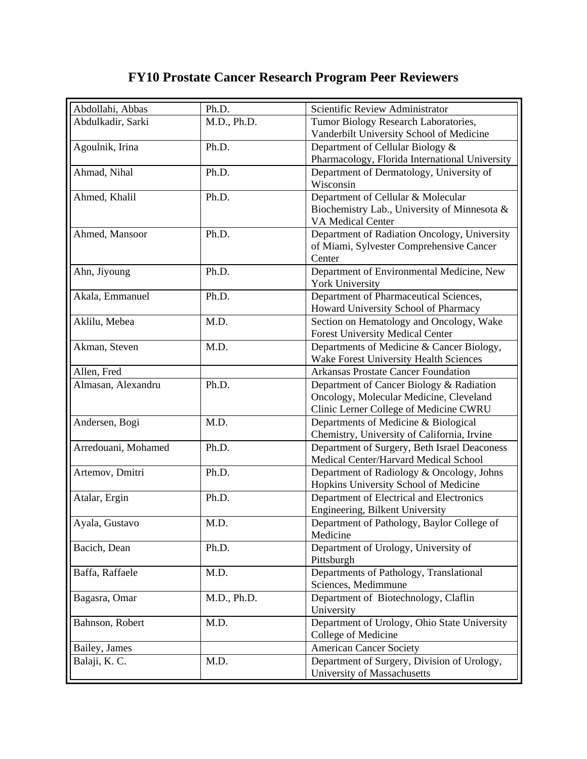## **FY10 Prostate Cancer Research Program Peer Reviewers**

| Abdollahi, Abbas    | Ph.D.       | Scientific Review Administrator                |
|---------------------|-------------|------------------------------------------------|
| Abdulkadir, Sarki   | M.D., Ph.D. | Tumor Biology Research Laboratories,           |
|                     |             | Vanderbilt University School of Medicine       |
| Agoulnik, Irina     | Ph.D.       | Department of Cellular Biology &               |
|                     |             | Pharmacology, Florida International University |
| Ahmad, Nihal        | Ph.D.       | Department of Dermatology, University of       |
|                     |             | Wisconsin                                      |
| Ahmed, Khalil       | Ph.D.       | Department of Cellular & Molecular             |
|                     |             | Biochemistry Lab., University of Minnesota &   |
|                     |             | <b>VA Medical Center</b>                       |
| Ahmed, Mansoor      | Ph.D.       | Department of Radiation Oncology, University   |
|                     |             | of Miami, Sylvester Comprehensive Cancer       |
|                     |             | Center                                         |
| Ahn, Jiyoung        | Ph.D.       | Department of Environmental Medicine, New      |
|                     |             | <b>York University</b>                         |
| Akala, Emmanuel     | Ph.D.       | Department of Pharmaceutical Sciences,         |
|                     |             | Howard University School of Pharmacy           |
| Aklilu, Mebea       | M.D.        | Section on Hematology and Oncology, Wake       |
|                     |             | <b>Forest University Medical Center</b>        |
| Akman, Steven       | M.D.        | Departments of Medicine & Cancer Biology,      |
|                     |             | Wake Forest University Health Sciences         |
| Allen, Fred         |             | <b>Arkansas Prostate Cancer Foundation</b>     |
| Almasan, Alexandru  | Ph.D.       | Department of Cancer Biology & Radiation       |
|                     |             | Oncology, Molecular Medicine, Cleveland        |
|                     |             | Clinic Lerner College of Medicine CWRU         |
| Andersen, Bogi      | M.D.        | Departments of Medicine & Biological           |
|                     |             | Chemistry, University of California, Irvine    |
| Arredouani, Mohamed | Ph.D.       | Department of Surgery, Beth Israel Deaconess   |
|                     |             | Medical Center/Harvard Medical School          |
| Artemov, Dmitri     | Ph.D.       | Department of Radiology & Oncology, Johns      |
|                     |             | Hopkins University School of Medicine          |
| Atalar, Ergin       | Ph.D.       | Department of Electrical and Electronics       |
|                     |             | Engineering, Bilkent University                |
| Ayala, Gustavo      | M.D.        | Department of Pathology, Baylor College of     |
|                     |             | Medicine                                       |
| Bacich, Dean        | Ph.D.       | Department of Urology, University of           |
|                     |             | Pittsburgh                                     |
| Baffa, Raffaele     | M.D.        | Departments of Pathology, Translational        |
|                     |             | Sciences, Medimmune                            |
| Bagasra, Omar       | M.D., Ph.D. | Department of Biotechnology, Claflin           |
|                     |             | University                                     |
| Bahnson, Robert     | M.D.        | Department of Urology, Ohio State University   |
|                     |             | College of Medicine                            |
| Bailey, James       |             | <b>American Cancer Society</b>                 |
| Balaji, K. C.       | M.D.        | Department of Surgery, Division of Urology,    |
|                     |             | University of Massachusetts                    |
|                     |             |                                                |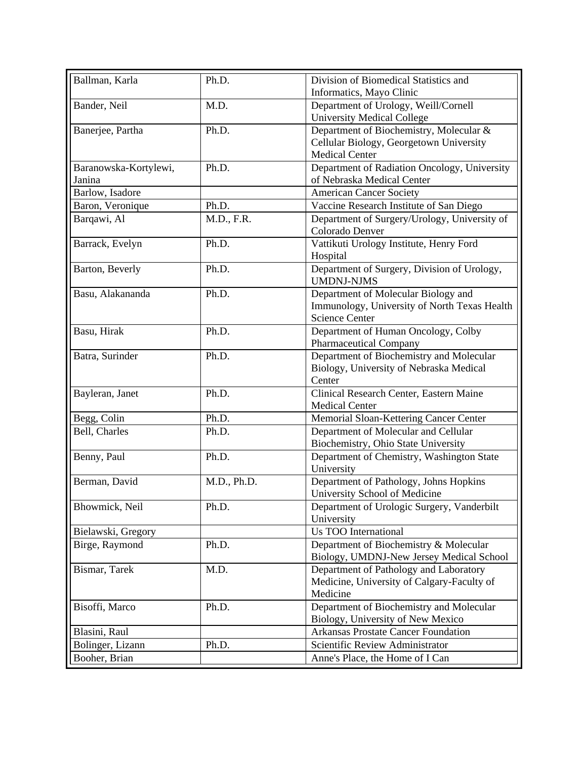| Ballman, Karla        | Ph.D.       | Division of Biomedical Statistics and                                                                        |
|-----------------------|-------------|--------------------------------------------------------------------------------------------------------------|
|                       |             | Informatics, Mayo Clinic                                                                                     |
| Bander, Neil          | M.D.        | Department of Urology, Weill/Cornell                                                                         |
|                       |             | <b>University Medical College</b>                                                                            |
| Banerjee, Partha      | Ph.D.       | Department of Biochemistry, Molecular &                                                                      |
|                       |             | Cellular Biology, Georgetown University                                                                      |
|                       |             | Medical Center                                                                                               |
| Baranowska-Kortylewi, | Ph.D.       | Department of Radiation Oncology, University                                                                 |
| Janina                |             | of Nebraska Medical Center                                                                                   |
| Barlow, Isadore       |             | <b>American Cancer Society</b>                                                                               |
| Baron, Veronique      | Ph.D.       | Vaccine Research Institute of San Diego                                                                      |
| Barqawi, Al           | M.D., F.R.  | Department of Surgery/Urology, University of<br>Colorado Denver                                              |
| Barrack, Evelyn       | Ph.D.       | Vattikuti Urology Institute, Henry Ford<br>Hospital                                                          |
| Barton, Beverly       | Ph.D.       | Department of Surgery, Division of Urology,<br><b>UMDNJ-NJMS</b>                                             |
| Basu, Alakananda      | Ph.D.       | Department of Molecular Biology and<br>Immunology, University of North Texas Health<br><b>Science Center</b> |
| Basu, Hirak           | Ph.D.       | Department of Human Oncology, Colby                                                                          |
|                       |             | <b>Pharmaceutical Company</b>                                                                                |
| Batra, Surinder       | Ph.D.       | Department of Biochemistry and Molecular<br>Biology, University of Nebraska Medical<br>Center                |
| Bayleran, Janet       | Ph.D.       | Clinical Research Center, Eastern Maine<br><b>Medical Center</b>                                             |
| Begg, Colin           | Ph.D.       | Memorial Sloan-Kettering Cancer Center                                                                       |
| Bell, Charles         | Ph.D.       | Department of Molecular and Cellular<br>Biochemistry, Ohio State University                                  |
| Benny, Paul           | Ph.D.       | Department of Chemistry, Washington State<br>University                                                      |
| Berman, David         | M.D., Ph.D. | Department of Pathology, Johns Hopkins<br>University School of Medicine                                      |
| Bhowmick, Neil        | Ph.D.       | Department of Urologic Surgery, Vanderbilt<br>University                                                     |
| Bielawski, Gregory    |             | Us TOO International                                                                                         |
| Birge, Raymond        | Ph.D.       | Department of Biochemistry & Molecular<br>Biology, UMDNJ-New Jersey Medical School                           |
| Bismar, Tarek         | M.D.        | Department of Pathology and Laboratory<br>Medicine, University of Calgary-Faculty of<br>Medicine             |
| Bisoffi, Marco        | Ph.D.       | Department of Biochemistry and Molecular<br>Biology, University of New Mexico                                |
| Blasini, Raul         |             | <b>Arkansas Prostate Cancer Foundation</b>                                                                   |
| Bolinger, Lizann      | Ph.D.       | Scientific Review Administrator                                                                              |
| Booher, Brian         |             | Anne's Place, the Home of I Can                                                                              |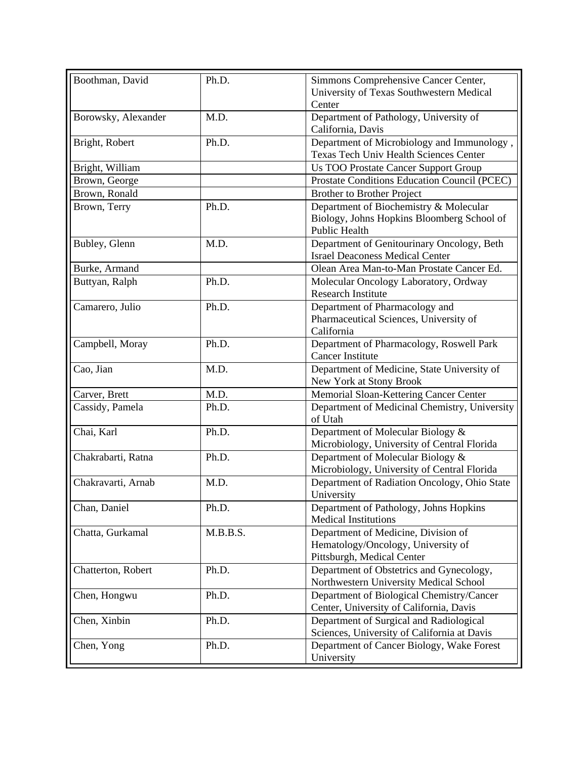| Boothman, David     | Ph.D.    | Simmons Comprehensive Cancer Center,<br>University of Texas Southwestern Medical<br>Center                   |
|---------------------|----------|--------------------------------------------------------------------------------------------------------------|
| Borowsky, Alexander | M.D.     | Department of Pathology, University of<br>California, Davis                                                  |
| Bright, Robert      | Ph.D.    | Department of Microbiology and Immunology,<br>Texas Tech Univ Health Sciences Center                         |
| Bright, William     |          | <b>Us TOO Prostate Cancer Support Group</b>                                                                  |
| Brown, George       |          | Prostate Conditions Education Council (PCEC)                                                                 |
| Brown, Ronald       |          | <b>Brother to Brother Project</b>                                                                            |
| Brown, Terry        | Ph.D.    | Department of Biochemistry & Molecular<br>Biology, Johns Hopkins Bloomberg School of<br><b>Public Health</b> |
| Bubley, Glenn       | M.D.     | Department of Genitourinary Oncology, Beth<br><b>Israel Deaconess Medical Center</b>                         |
| Burke, Armand       |          | Olean Area Man-to-Man Prostate Cancer Ed.                                                                    |
| Buttyan, Ralph      | Ph.D.    | Molecular Oncology Laboratory, Ordway<br><b>Research Institute</b>                                           |
| Camarero, Julio     | Ph.D.    | Department of Pharmacology and<br>Pharmaceutical Sciences, University of<br>California                       |
| Campbell, Moray     | Ph.D.    | Department of Pharmacology, Roswell Park<br><b>Cancer Institute</b>                                          |
| Cao, Jian           | M.D.     | Department of Medicine, State University of<br>New York at Stony Brook                                       |
| Carver, Brett       | M.D.     | Memorial Sloan-Kettering Cancer Center                                                                       |
| Cassidy, Pamela     | Ph.D.    | Department of Medicinal Chemistry, University<br>of Utah                                                     |
| Chai, Karl          | Ph.D.    | Department of Molecular Biology &<br>Microbiology, University of Central Florida                             |
| Chakrabarti, Ratna  | Ph.D.    | Department of Molecular Biology &<br>Microbiology, University of Central Florida                             |
| Chakravarti, Arnab  | M.D.     | Department of Radiation Oncology, Ohio State<br>University                                                   |
| Chan, Daniel        | Ph.D.    | Department of Pathology, Johns Hopkins<br><b>Medical Institutions</b>                                        |
| Chatta, Gurkamal    | M.B.B.S. | Department of Medicine, Division of<br>Hematology/Oncology, University of<br>Pittsburgh, Medical Center      |
| Chatterton, Robert  | Ph.D.    | Department of Obstetrics and Gynecology,<br>Northwestern University Medical School                           |
| Chen, Hongwu        | Ph.D.    | Department of Biological Chemistry/Cancer<br>Center, University of California, Davis                         |
| Chen, Xinbin        | Ph.D.    | Department of Surgical and Radiological<br>Sciences, University of California at Davis                       |
| Chen, Yong          | Ph.D.    | Department of Cancer Biology, Wake Forest<br>University                                                      |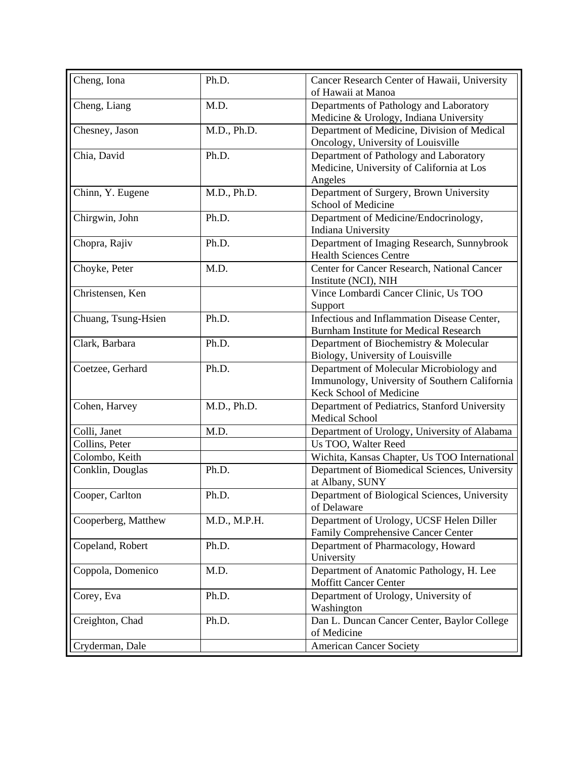| Cheng, Iona         | Ph.D.        | Cancer Research Center of Hawaii, University<br>of Hawaii at Manoa                                                   |
|---------------------|--------------|----------------------------------------------------------------------------------------------------------------------|
| Cheng, Liang        | M.D.         | Departments of Pathology and Laboratory<br>Medicine & Urology, Indiana University                                    |
| Chesney, Jason      | M.D., Ph.D.  | Department of Medicine, Division of Medical<br>Oncology, University of Louisville                                    |
| Chia, David         | Ph.D.        | Department of Pathology and Laboratory<br>Medicine, University of California at Los<br>Angeles                       |
| Chinn, Y. Eugene    | M.D., Ph.D.  | Department of Surgery, Brown University<br>School of Medicine                                                        |
| Chirgwin, John      | Ph.D.        | Department of Medicine/Endocrinology,<br>Indiana University                                                          |
| Chopra, Rajiv       | Ph.D.        | Department of Imaging Research, Sunnybrook<br><b>Health Sciences Centre</b>                                          |
| Choyke, Peter       | M.D.         | Center for Cancer Research, National Cancer<br>Institute (NCI), NIH                                                  |
| Christensen, Ken    |              | Vince Lombardi Cancer Clinic, Us TOO<br>Support                                                                      |
| Chuang, Tsung-Hsien | Ph.D.        | Infectious and Inflammation Disease Center,<br><b>Burnham Institute for Medical Research</b>                         |
| Clark, Barbara      | Ph.D.        | Department of Biochemistry & Molecular<br>Biology, University of Louisville                                          |
| Coetzee, Gerhard    | Ph.D.        | Department of Molecular Microbiology and<br>Immunology, University of Southern California<br>Keck School of Medicine |
| Cohen, Harvey       | M.D., Ph.D.  | Department of Pediatrics, Stanford University<br><b>Medical School</b>                                               |
| Colli, Janet        | M.D.         | Department of Urology, University of Alabama                                                                         |
| Collins, Peter      |              | Us TOO, Walter Reed                                                                                                  |
| Colombo, Keith      |              | Wichita, Kansas Chapter, Us TOO International                                                                        |
| Conklin, Douglas    | Ph.D.        | Department of Biomedical Sciences, University<br>at Albany, SUNY                                                     |
| Cooper, Carlton     | Ph.D.        | Department of Biological Sciences, University<br>of Delaware                                                         |
| Cooperberg, Matthew | M.D., M.P.H. | Department of Urology, UCSF Helen Diller<br>Family Comprehensive Cancer Center                                       |
| Copeland, Robert    | Ph.D.        | Department of Pharmacology, Howard<br>University                                                                     |
| Coppola, Domenico   | M.D.         | Department of Anatomic Pathology, H. Lee<br><b>Moffitt Cancer Center</b>                                             |
| Corey, Eva          | Ph.D.        | Department of Urology, University of<br>Washington                                                                   |
| Creighton, Chad     | Ph.D.        | Dan L. Duncan Cancer Center, Baylor College<br>of Medicine                                                           |
| Cryderman, Dale     |              | <b>American Cancer Society</b>                                                                                       |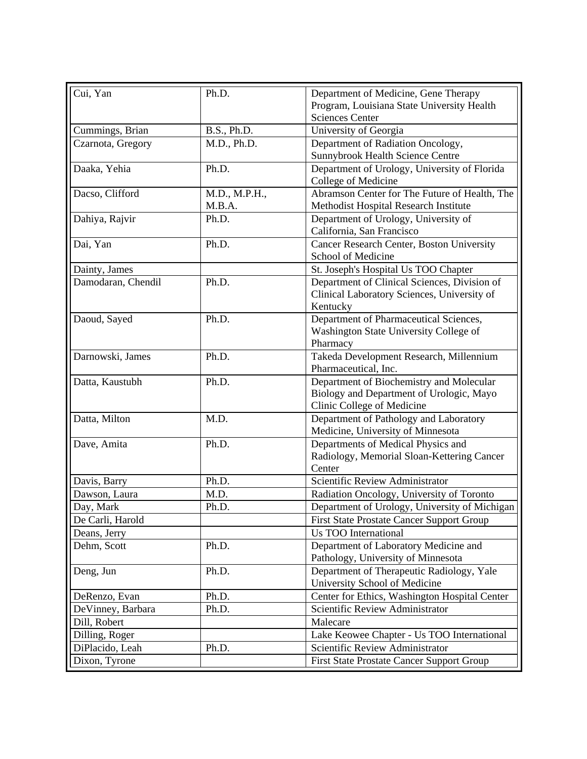| Cui, Yan           | Ph.D.         | Department of Medicine, Gene Therapy                                             |
|--------------------|---------------|----------------------------------------------------------------------------------|
|                    |               | Program, Louisiana State University Health                                       |
|                    |               | <b>Sciences Center</b>                                                           |
| Cummings, Brian    | B.S., Ph.D.   | University of Georgia                                                            |
| Czarnota, Gregory  | M.D., Ph.D.   | Department of Radiation Oncology,                                                |
|                    |               | Sunnybrook Health Science Centre                                                 |
| Daaka, Yehia       | Ph.D.         | Department of Urology, University of Florida                                     |
|                    |               | College of Medicine                                                              |
| Dacso, Clifford    | M.D., M.P.H., | Abramson Center for The Future of Health, The                                    |
|                    | M.B.A.        | Methodist Hospital Research Institute                                            |
| Dahiya, Rajvir     | Ph.D.         | Department of Urology, University of                                             |
|                    |               | California, San Francisco                                                        |
| Dai, Yan           | Ph.D.         | Cancer Research Center, Boston University                                        |
|                    |               | School of Medicine                                                               |
| Dainty, James      |               | St. Joseph's Hospital Us TOO Chapter                                             |
| Damodaran, Chendil | Ph.D.         | Department of Clinical Sciences, Division of                                     |
|                    |               | Clinical Laboratory Sciences, University of                                      |
|                    |               | Kentucky                                                                         |
| Daoud, Sayed       | Ph.D.         | Department of Pharmaceutical Sciences,                                           |
|                    |               | Washington State University College of                                           |
|                    |               | Pharmacy                                                                         |
| Darnowski, James   | Ph.D.         | Takeda Development Research, Millennium                                          |
|                    |               | Pharmaceutical, Inc.                                                             |
| Datta, Kaustubh    | Ph.D.         | Department of Biochemistry and Molecular                                         |
|                    |               | Biology and Department of Urologic, Mayo                                         |
|                    |               | Clinic College of Medicine                                                       |
| Datta, Milton      | M.D.          | Department of Pathology and Laboratory                                           |
|                    | Ph.D.         | Medicine, University of Minnesota                                                |
| Dave, Amita        |               | Departments of Medical Physics and<br>Radiology, Memorial Sloan-Kettering Cancer |
|                    |               | Center                                                                           |
| Davis, Barry       | Ph.D.         | Scientific Review Administrator                                                  |
| Dawson, Laura      | M.D.          | Radiation Oncology, University of Toronto                                        |
| Day, Mark          | Ph.D.         | Department of Urology, University of Michigan                                    |
| De Carli, Harold   |               | <b>First State Prostate Cancer Support Group</b>                                 |
| Deans, Jerry       |               | <b>Us TOO International</b>                                                      |
| Dehm, Scott        | Ph.D.         | Department of Laboratory Medicine and                                            |
|                    |               | Pathology, University of Minnesota                                               |
| Deng, Jun          | Ph.D.         | Department of Therapeutic Radiology, Yale                                        |
|                    |               | University School of Medicine                                                    |
| DeRenzo, Evan      | Ph.D.         | Center for Ethics, Washington Hospital Center                                    |
| DeVinney, Barbara  | Ph.D.         | Scientific Review Administrator                                                  |
| Dill, Robert       |               | Malecare                                                                         |
| Dilling, Roger     |               | Lake Keowee Chapter - Us TOO International                                       |
|                    |               | Scientific Review Administrator                                                  |
| DiPlacido, Leah    | Ph.D.         |                                                                                  |
| Dixon, Tyrone      |               | First State Prostate Cancer Support Group                                        |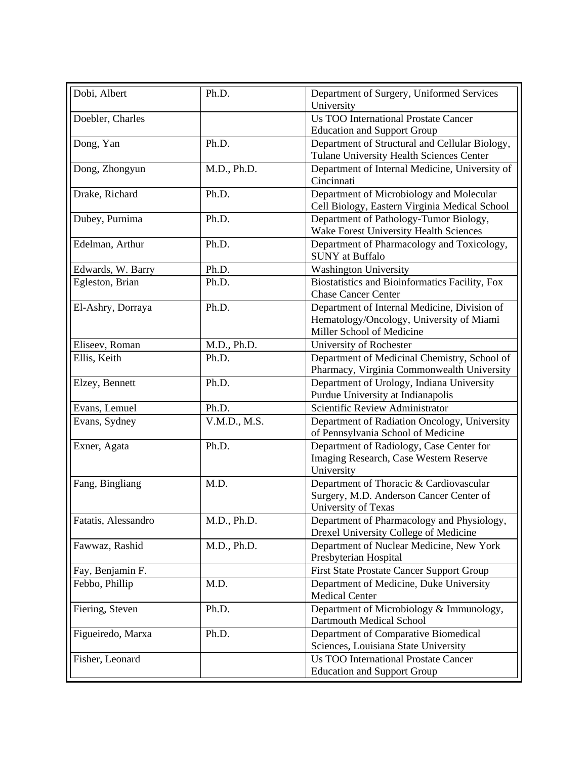| Dobi, Albert        | Ph.D.        | Department of Surgery, Uniformed Services<br>University                                                               |
|---------------------|--------------|-----------------------------------------------------------------------------------------------------------------------|
| Doebler, Charles    |              | <b>Us TOO International Prostate Cancer</b>                                                                           |
|                     |              | <b>Education and Support Group</b>                                                                                    |
| Dong, Yan           | Ph.D.        | Department of Structural and Cellular Biology,                                                                        |
|                     |              | Tulane University Health Sciences Center                                                                              |
| Dong, Zhongyun      | M.D., Ph.D.  | Department of Internal Medicine, University of<br>Cincinnati                                                          |
| Drake, Richard      | Ph.D.        | Department of Microbiology and Molecular<br>Cell Biology, Eastern Virginia Medical School                             |
| Dubey, Purnima      | Ph.D.        | Department of Pathology-Tumor Biology,<br>Wake Forest University Health Sciences                                      |
| Edelman, Arthur     | Ph.D.        | Department of Pharmacology and Toxicology,<br><b>SUNY</b> at Buffalo                                                  |
| Edwards, W. Barry   | Ph.D.        | <b>Washington University</b>                                                                                          |
| Egleston, Brian     | Ph.D.        | Biostatistics and Bioinformatics Facility, Fox<br><b>Chase Cancer Center</b>                                          |
| El-Ashry, Dorraya   | Ph.D.        | Department of Internal Medicine, Division of<br>Hematology/Oncology, University of Miami<br>Miller School of Medicine |
| Eliseev, Roman      | M.D., Ph.D.  | University of Rochester                                                                                               |
| Ellis, Keith        | Ph.D.        | Department of Medicinal Chemistry, School of<br>Pharmacy, Virginia Commonwealth University                            |
| Elzey, Bennett      | Ph.D.        | Department of Urology, Indiana University<br>Purdue University at Indianapolis                                        |
| Evans, Lemuel       | Ph.D.        | Scientific Review Administrator                                                                                       |
| Evans, Sydney       | V.M.D., M.S. | Department of Radiation Oncology, University<br>of Pennsylvania School of Medicine                                    |
| Exner, Agata        | Ph.D.        | Department of Radiology, Case Center for<br>Imaging Research, Case Western Reserve<br>University                      |
| Fang, Bingliang     | M.D.         | Department of Thoracic & Cardiovascular<br>Surgery, M.D. Anderson Cancer Center of<br>University of Texas             |
| Fatatis, Alessandro | M.D., Ph.D.  | Department of Pharmacology and Physiology,<br>Drexel University College of Medicine                                   |
| Fawwaz, Rashid      | M.D., Ph.D.  | Department of Nuclear Medicine, New York<br>Presbyterian Hospital                                                     |
| Fay, Benjamin F.    |              | <b>First State Prostate Cancer Support Group</b>                                                                      |
| Febbo, Phillip      | M.D.         | Department of Medicine, Duke University<br><b>Medical Center</b>                                                      |
| Fiering, Steven     | Ph.D.        | Department of Microbiology & Immunology,<br>Dartmouth Medical School                                                  |
| Figueiredo, Marxa   | Ph.D.        | Department of Comparative Biomedical                                                                                  |
|                     |              | Sciences, Louisiana State University                                                                                  |
| Fisher, Leonard     |              | <b>Us TOO International Prostate Cancer</b><br><b>Education and Support Group</b>                                     |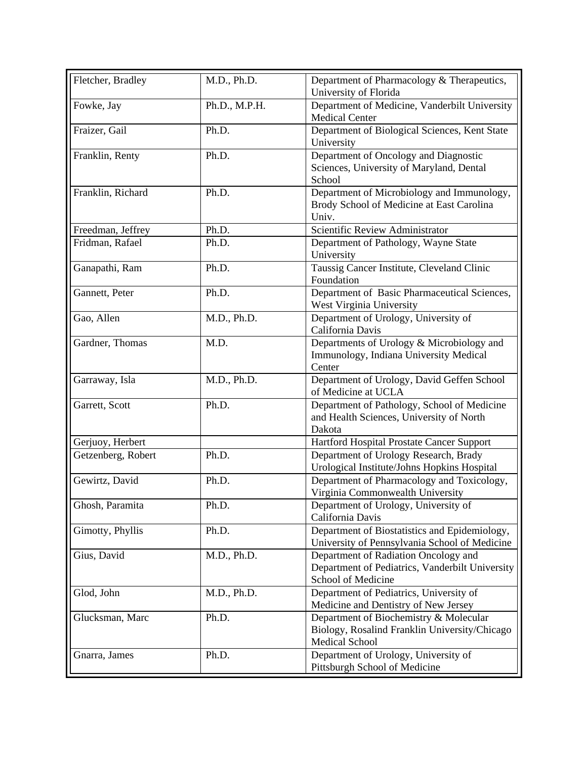| Fletcher, Bradley  | M.D., Ph.D.   | Department of Pharmacology & Therapeutics,<br>University of Florida                                              |
|--------------------|---------------|------------------------------------------------------------------------------------------------------------------|
| Fowke, Jay         | Ph.D., M.P.H. | Department of Medicine, Vanderbilt University<br><b>Medical Center</b>                                           |
| Fraizer, Gail      | Ph.D.         | Department of Biological Sciences, Kent State<br>University                                                      |
| Franklin, Renty    | Ph.D.         | Department of Oncology and Diagnostic<br>Sciences, University of Maryland, Dental<br>School                      |
| Franklin, Richard  | Ph.D.         | Department of Microbiology and Immunology,<br>Brody School of Medicine at East Carolina<br>Univ.                 |
| Freedman, Jeffrey  | Ph.D.         | Scientific Review Administrator                                                                                  |
| Fridman, Rafael    | Ph.D.         | Department of Pathology, Wayne State<br>University                                                               |
| Ganapathi, Ram     | Ph.D.         | Taussig Cancer Institute, Cleveland Clinic<br>Foundation                                                         |
| Gannett, Peter     | Ph.D.         | Department of Basic Pharmaceutical Sciences,<br>West Virginia University                                         |
| Gao, Allen         | M.D., Ph.D.   | Department of Urology, University of<br>California Davis                                                         |
| Gardner, Thomas    | M.D.          | Departments of Urology & Microbiology and<br>Immunology, Indiana University Medical<br>Center                    |
| Garraway, Isla     | M.D., Ph.D.   | Department of Urology, David Geffen School<br>of Medicine at UCLA                                                |
| Garrett, Scott     | Ph.D.         | Department of Pathology, School of Medicine<br>and Health Sciences, University of North<br>Dakota                |
| Gerjuoy, Herbert   |               | Hartford Hospital Prostate Cancer Support                                                                        |
| Getzenberg, Robert | Ph.D.         | Department of Urology Research, Brady<br>Urological Institute/Johns Hopkins Hospital                             |
| Gewirtz, David     | Ph.D.         | Department of Pharmacology and Toxicology,<br>Virginia Commonwealth University                                   |
| Ghosh, Paramita    | Ph.D.         | Department of Urology, University of<br>California Davis                                                         |
| Gimotty, Phyllis   | Ph.D.         | Department of Biostatistics and Epidemiology,<br>University of Pennsylvania School of Medicine                   |
| Gius, David        | M.D., Ph.D.   | Department of Radiation Oncology and<br>Department of Pediatrics, Vanderbilt University<br>School of Medicine    |
| Glod, John         | M.D., Ph.D.   | Department of Pediatrics, University of<br>Medicine and Dentistry of New Jersey                                  |
| Glucksman, Marc    | Ph.D.         | Department of Biochemistry & Molecular<br>Biology, Rosalind Franklin University/Chicago<br><b>Medical School</b> |
| Gnarra, James      | Ph.D.         | Department of Urology, University of<br>Pittsburgh School of Medicine                                            |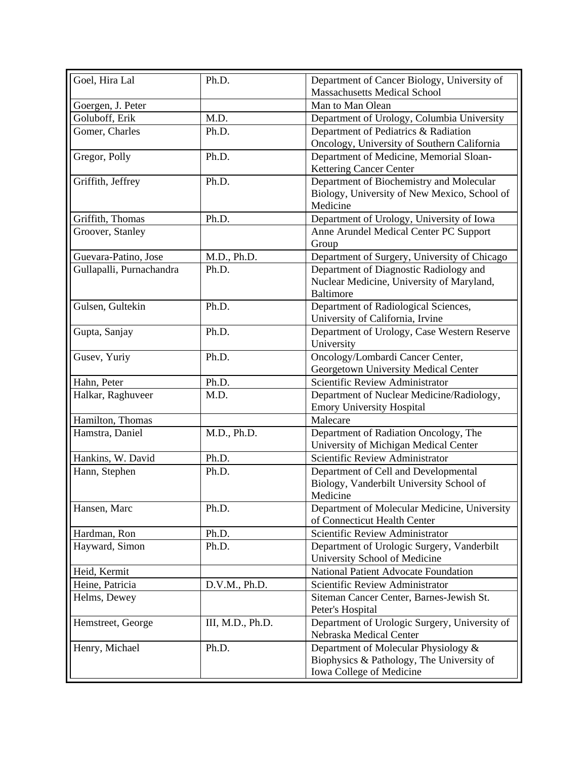| Goel, Hira Lal           | Ph.D.            | Department of Cancer Biology, University of<br><b>Massachusetts Medical School</b> |
|--------------------------|------------------|------------------------------------------------------------------------------------|
| Goergen, J. Peter        |                  | Man to Man Olean                                                                   |
| Goluboff, Erik           | M.D.             | Department of Urology, Columbia University                                         |
| Gomer, Charles           | Ph.D.            | Department of Pediatrics & Radiation                                               |
|                          |                  | Oncology, University of Southern California                                        |
| Gregor, Polly            | Ph.D.            | Department of Medicine, Memorial Sloan-                                            |
|                          |                  | <b>Kettering Cancer Center</b>                                                     |
| Griffith, Jeffrey        | Ph.D.            | Department of Biochemistry and Molecular                                           |
|                          |                  | Biology, University of New Mexico, School of                                       |
|                          |                  | Medicine                                                                           |
| Griffith, Thomas         | Ph.D.            | Department of Urology, University of Iowa                                          |
| Groover, Stanley         |                  | Anne Arundel Medical Center PC Support                                             |
|                          |                  | Group                                                                              |
| Guevara-Patino, Jose     | M.D., Ph.D.      | Department of Surgery, University of Chicago                                       |
| Gullapalli, Purnachandra | Ph.D.            | Department of Diagnostic Radiology and                                             |
|                          |                  | Nuclear Medicine, University of Maryland,                                          |
|                          |                  | <b>Baltimore</b>                                                                   |
| Gulsen, Gultekin         | Ph.D.            | Department of Radiological Sciences,                                               |
|                          |                  | University of California, Irvine                                                   |
| Gupta, Sanjay            | Ph.D.            | Department of Urology, Case Western Reserve                                        |
|                          |                  | University                                                                         |
| Gusev, Yuriy             | Ph.D.            | Oncology/Lombardi Cancer Center,                                                   |
|                          |                  | Georgetown University Medical Center                                               |
| Hahn, Peter              | Ph.D.            | Scientific Review Administrator                                                    |
| Halkar, Raghuveer        | M.D.             | Department of Nuclear Medicine/Radiology,                                          |
|                          |                  | <b>Emory University Hospital</b>                                                   |
| Hamilton, Thomas         |                  | Malecare                                                                           |
| Hamstra, Daniel          | M.D., Ph.D.      | Department of Radiation Oncology, The                                              |
|                          |                  | University of Michigan Medical Center                                              |
| Hankins, W. David        | Ph.D.            | Scientific Review Administrator                                                    |
| Hann, Stephen            | Ph.D.            | Department of Cell and Developmental                                               |
|                          |                  | Biology, Vanderbilt University School of                                           |
|                          |                  | Medicine                                                                           |
| Hansen, Marc             | Ph.D.            | Department of Molecular Medicine, University                                       |
|                          |                  | of Connecticut Health Center                                                       |
| Hardman, Ron             | Ph.D.            | Scientific Review Administrator                                                    |
| Hayward, Simon           | Ph.D.            | Department of Urologic Surgery, Vanderbilt                                         |
|                          |                  | University School of Medicine                                                      |
| Heid, Kermit             |                  | <b>National Patient Advocate Foundation</b>                                        |
| Heine, Patricia          | D.V.M., Ph.D.    | Scientific Review Administrator                                                    |
| Helms, Dewey             |                  | Siteman Cancer Center, Barnes-Jewish St.                                           |
|                          |                  | Peter's Hospital                                                                   |
| Hemstreet, George        | III, M.D., Ph.D. | Department of Urologic Surgery, University of                                      |
|                          |                  | Nebraska Medical Center                                                            |
| Henry, Michael           | Ph.D.            | Department of Molecular Physiology &                                               |
|                          |                  | Biophysics & Pathology, The University of                                          |
|                          |                  | Iowa College of Medicine                                                           |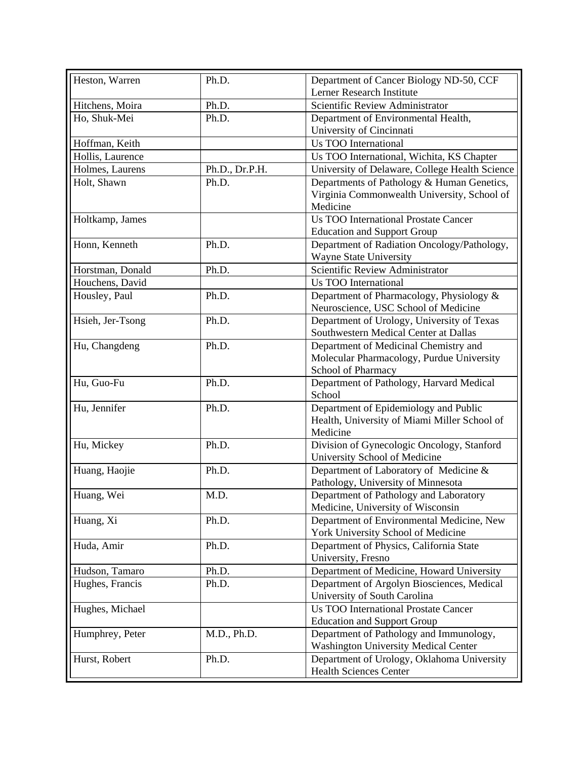| Heston, Warren   | Ph.D.          | Department of Cancer Biology ND-50, CCF            |
|------------------|----------------|----------------------------------------------------|
|                  |                | Lerner Research Institute                          |
| Hitchens, Moira  | Ph.D.          | Scientific Review Administrator                    |
| Ho, Shuk-Mei     | Ph.D.          | Department of Environmental Health,                |
|                  |                | University of Cincinnati                           |
| Hoffman, Keith   |                | <b>Us TOO International</b>                        |
| Hollis, Laurence |                | Us TOO International, Wichita, KS Chapter          |
| Holmes, Laurens  | Ph.D., Dr.P.H. | University of Delaware, College Health Science     |
| Holt, Shawn      | Ph.D.          | Departments of Pathology & Human Genetics,         |
|                  |                | Virginia Commonwealth University, School of        |
|                  |                | Medicine                                           |
| Holtkamp, James  |                | <b>Us TOO International Prostate Cancer</b>        |
|                  |                | <b>Education and Support Group</b>                 |
| Honn, Kenneth    | Ph.D.          | Department of Radiation Oncology/Pathology,        |
|                  |                | Wayne State University                             |
| Horstman, Donald | Ph.D.          | Scientific Review Administrator                    |
| Houchens, David  |                | Us TOO International                               |
| Housley, Paul    | Ph.D.          | Department of Pharmacology, Physiology &           |
|                  |                | Neuroscience, USC School of Medicine               |
| Hsieh, Jer-Tsong | Ph.D.          | Department of Urology, University of Texas         |
|                  |                | Southwestern Medical Center at Dallas              |
| Hu, Changdeng    | Ph.D.          | Department of Medicinal Chemistry and              |
|                  |                | Molecular Pharmacology, Purdue University          |
|                  |                | School of Pharmacy                                 |
| Hu, Guo-Fu       | Ph.D.          | Department of Pathology, Harvard Medical<br>School |
| Hu, Jennifer     | Ph.D.          | Department of Epidemiology and Public              |
|                  |                | Health, University of Miami Miller School of       |
|                  |                | Medicine                                           |
| Hu, Mickey       | Ph.D.          | Division of Gynecologic Oncology, Stanford         |
|                  |                | University School of Medicine                      |
| Huang, Haojie    | Ph.D.          | Department of Laboratory of Medicine &             |
|                  |                | Pathology, University of Minnesota                 |
| Huang, Wei       | M.D.           | Department of Pathology and Laboratory             |
|                  |                | Medicine, University of Wisconsin                  |
| Huang, Xi        | Ph.D.          | Department of Environmental Medicine, New          |
|                  |                | York University School of Medicine                 |
| Huda, Amir       | Ph.D.          | Department of Physics, California State            |
|                  |                | University, Fresno                                 |
| Hudson, Tamaro   | Ph.D.          | Department of Medicine, Howard University          |
| Hughes, Francis  | Ph.D.          | Department of Argolyn Biosciences, Medical         |
|                  |                | University of South Carolina                       |
| Hughes, Michael  |                | <b>Us TOO International Prostate Cancer</b>        |
|                  |                | <b>Education and Support Group</b>                 |
| Humphrey, Peter  | M.D., Ph.D.    | Department of Pathology and Immunology,            |
|                  |                | <b>Washington University Medical Center</b>        |
| Hurst, Robert    | Ph.D.          | Department of Urology, Oklahoma University         |
|                  |                | <b>Health Sciences Center</b>                      |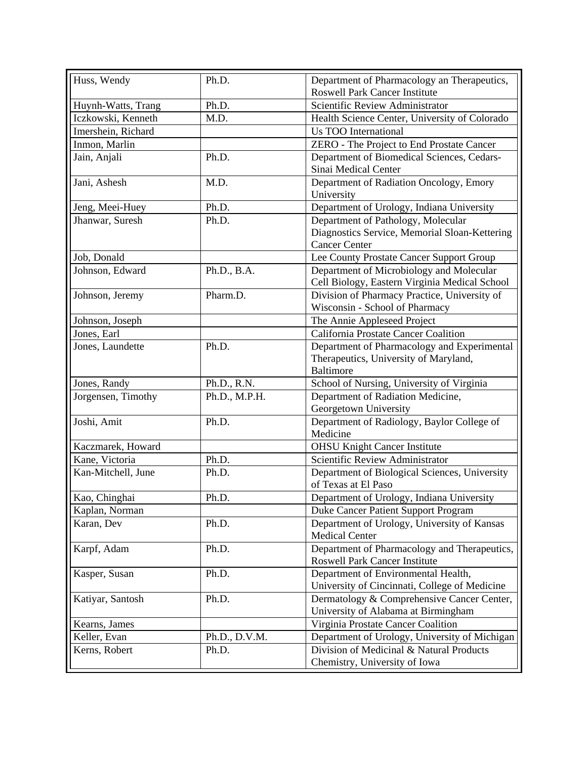| Huss, Wendy        | Ph.D.         | Department of Pharmacology an Therapeutics,<br><b>Roswell Park Cancer Institute</b>                         |
|--------------------|---------------|-------------------------------------------------------------------------------------------------------------|
| Huynh-Watts, Trang | Ph.D.         | Scientific Review Administrator                                                                             |
| Iczkowski, Kenneth | M.D.          | Health Science Center, University of Colorado                                                               |
| Imershein, Richard |               | <b>Us TOO International</b>                                                                                 |
| Inmon, Marlin      |               | ZERO - The Project to End Prostate Cancer                                                                   |
| Jain, Anjali       | Ph.D.         | Department of Biomedical Sciences, Cedars-<br>Sinai Medical Center                                          |
| Jani, Ashesh       | M.D.          | Department of Radiation Oncology, Emory<br>University                                                       |
| Jeng, Meei-Huey    | Ph.D.         | Department of Urology, Indiana University                                                                   |
| Jhanwar, Suresh    | Ph.D.         | Department of Pathology, Molecular<br>Diagnostics Service, Memorial Sloan-Kettering<br><b>Cancer Center</b> |
| Job, Donald        |               | Lee County Prostate Cancer Support Group                                                                    |
| Johnson, Edward    | Ph.D., B.A.   | Department of Microbiology and Molecular<br>Cell Biology, Eastern Virginia Medical School                   |
| Johnson, Jeremy    | Pharm.D.      | Division of Pharmacy Practice, University of<br>Wisconsin - School of Pharmacy                              |
| Johnson, Joseph    |               | The Annie Appleseed Project                                                                                 |
| Jones, Earl        |               | California Prostate Cancer Coalition                                                                        |
| Jones, Laundette   | Ph.D.         | Department of Pharmacology and Experimental<br>Therapeutics, University of Maryland,<br><b>Baltimore</b>    |
| Jones, Randy       | Ph.D., R.N.   | School of Nursing, University of Virginia                                                                   |
| Jorgensen, Timothy | Ph.D., M.P.H. | Department of Radiation Medicine,<br>Georgetown University                                                  |
| Joshi, Amit        | Ph.D.         | Department of Radiology, Baylor College of<br>Medicine                                                      |
| Kaczmarek, Howard  |               | <b>OHSU Knight Cancer Institute</b>                                                                         |
| Kane, Victoria     | Ph.D.         | Scientific Review Administrator                                                                             |
| Kan-Mitchell, June | Ph.D.         | Department of Biological Sciences, University<br>of Texas at El Paso                                        |
| Kao, Chinghai      | Ph.D.         | Department of Urology, Indiana University                                                                   |
| Kaplan, Norman     |               | Duke Cancer Patient Support Program                                                                         |
| Karan, Dev         | Ph.D.         | Department of Urology, University of Kansas<br><b>Medical Center</b>                                        |
| Karpf, Adam        | Ph.D.         | Department of Pharmacology and Therapeutics,<br><b>Roswell Park Cancer Institute</b>                        |
| Kasper, Susan      | Ph.D.         | Department of Environmental Health,<br>University of Cincinnati, College of Medicine                        |
| Katiyar, Santosh   | Ph.D.         | Dermatology & Comprehensive Cancer Center,<br>University of Alabama at Birmingham                           |
| Kearns, James      |               | Virginia Prostate Cancer Coalition                                                                          |
| Keller, Evan       | Ph.D., D.V.M. | Department of Urology, University of Michigan                                                               |
| Kerns, Robert      | Ph.D.         | Division of Medicinal & Natural Products<br>Chemistry, University of Iowa                                   |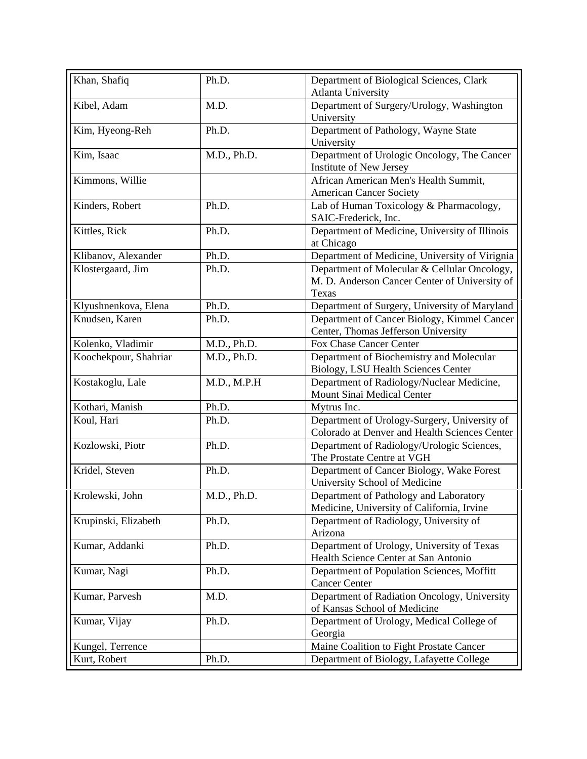| Khan, Shafiq          | Ph.D.       | Department of Biological Sciences, Clark<br><b>Atlanta University</b>                                  |
|-----------------------|-------------|--------------------------------------------------------------------------------------------------------|
| Kibel, Adam           | M.D.        | Department of Surgery/Urology, Washington                                                              |
| Kim, Hyeong-Reh       | Ph.D.       | University<br>Department of Pathology, Wayne State<br>University                                       |
| Kim, Isaac            | M.D., Ph.D. | Department of Urologic Oncology, The Cancer<br>Institute of New Jersey                                 |
| Kimmons, Willie       |             | African American Men's Health Summit,<br><b>American Cancer Society</b>                                |
| Kinders, Robert       | Ph.D.       | Lab of Human Toxicology & Pharmacology,<br>SAIC-Frederick, Inc.                                        |
| Kittles, Rick         | Ph.D.       | Department of Medicine, University of Illinois<br>at Chicago                                           |
| Klibanov, Alexander   | Ph.D.       | Department of Medicine, University of Virignia                                                         |
| Klostergaard, Jim     | Ph.D.       | Department of Molecular & Cellular Oncology,<br>M. D. Anderson Cancer Center of University of<br>Texas |
| Klyushnenkova, Elena  | Ph.D.       | Department of Surgery, University of Maryland                                                          |
| Knudsen, Karen        | Ph.D.       | Department of Cancer Biology, Kimmel Cancer<br>Center, Thomas Jefferson University                     |
| Kolenko, Vladimir     | M.D., Ph.D. | Fox Chase Cancer Center                                                                                |
| Koochekpour, Shahriar | M.D., Ph.D. | Department of Biochemistry and Molecular<br>Biology, LSU Health Sciences Center                        |
| Kostakoglu, Lale      | M.D., M.P.H | Department of Radiology/Nuclear Medicine,<br>Mount Sinai Medical Center                                |
| Kothari, Manish       | Ph.D.       | Mytrus Inc.                                                                                            |
| Koul, Hari            | Ph.D.       | Department of Urology-Surgery, University of<br>Colorado at Denver and Health Sciences Center          |
| Kozlowski, Piotr      | Ph.D.       | Department of Radiology/Urologic Sciences,<br>The Prostate Centre at VGH                               |
| Kridel, Steven        | Ph.D.       | Department of Cancer Biology, Wake Forest<br>University School of Medicine                             |
| Krolewski, John       | M.D., Ph.D. | Department of Pathology and Laboratory<br>Medicine, University of California, Irvine                   |
| Krupinski, Elizabeth  | Ph.D.       | Department of Radiology, University of<br>Arizona                                                      |
| Kumar, Addanki        | Ph.D.       | Department of Urology, University of Texas<br>Health Science Center at San Antonio                     |
| Kumar, Nagi           | Ph.D.       | Department of Population Sciences, Moffitt<br><b>Cancer Center</b>                                     |
| Kumar, Parvesh        | M.D.        | Department of Radiation Oncology, University<br>of Kansas School of Medicine                           |
| Kumar, Vijay          | Ph.D.       | Department of Urology, Medical College of<br>Georgia                                                   |
| Kungel, Terrence      |             | Maine Coalition to Fight Prostate Cancer                                                               |
| Kurt, Robert          | Ph.D.       | Department of Biology, Lafayette College                                                               |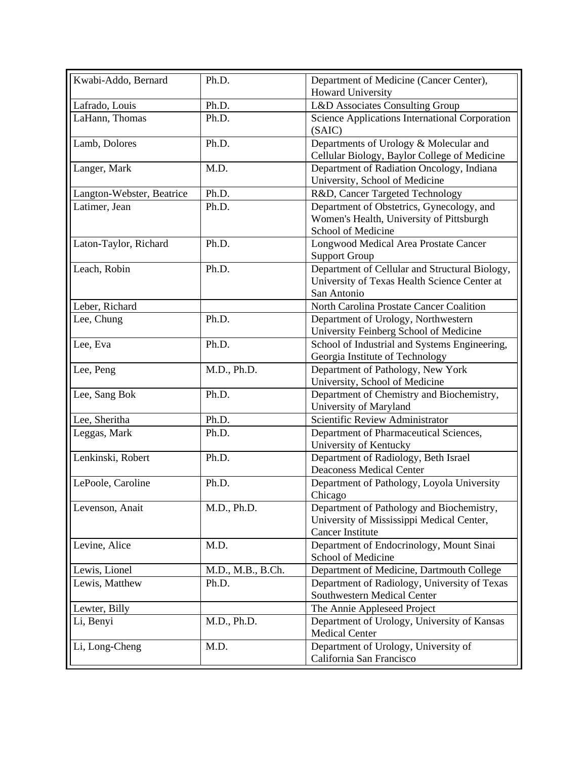| Kwabi-Addo, Bernard       | Ph.D.             | Department of Medicine (Cancer Center),<br><b>Howard University</b>                                               |
|---------------------------|-------------------|-------------------------------------------------------------------------------------------------------------------|
| Lafrado, Louis            | Ph.D.             | L&D Associates Consulting Group                                                                                   |
| LaHann, Thomas            | Ph.D.             | Science Applications International Corporation<br>(SAIC)                                                          |
| Lamb, Dolores             | Ph.D.             | Departments of Urology & Molecular and<br>Cellular Biology, Baylor College of Medicine                            |
| Langer, Mark              | M.D.              | Department of Radiation Oncology, Indiana<br>University, School of Medicine                                       |
| Langton-Webster, Beatrice | Ph.D.             | R&D, Cancer Targeted Technology                                                                                   |
| Latimer, Jean             | Ph.D.             | Department of Obstetrics, Gynecology, and<br>Women's Health, University of Pittsburgh<br>School of Medicine       |
| Laton-Taylor, Richard     | Ph.D.             | Longwood Medical Area Prostate Cancer<br><b>Support Group</b>                                                     |
| Leach, Robin              | Ph.D.             | Department of Cellular and Structural Biology,<br>University of Texas Health Science Center at<br>San Antonio     |
| Leber, Richard            |                   | North Carolina Prostate Cancer Coalition                                                                          |
| Lee, Chung                | Ph.D.             | Department of Urology, Northwestern<br>University Feinberg School of Medicine                                     |
| Lee, Eva                  | Ph.D.             | School of Industrial and Systems Engineering,<br>Georgia Institute of Technology                                  |
| Lee, Peng                 | M.D., Ph.D.       | Department of Pathology, New York<br>University, School of Medicine                                               |
| Lee, Sang Bok             | Ph.D.             | Department of Chemistry and Biochemistry,<br>University of Maryland                                               |
| Lee, Sheritha             | Ph.D.             | Scientific Review Administrator                                                                                   |
| Leggas, Mark              | Ph.D.             | Department of Pharmaceutical Sciences,<br>University of Kentucky                                                  |
| Lenkinski, Robert         | Ph.D.             | Department of Radiology, Beth Israel<br><b>Deaconess Medical Center</b>                                           |
| LePoole, Caroline         | Ph.D.             | Department of Pathology, Loyola University<br>Chicago                                                             |
| Levenson, Anait           | M.D., Ph.D.       | Department of Pathology and Biochemistry,<br>University of Mississippi Medical Center,<br><b>Cancer Institute</b> |
| Levine, Alice             | M.D.              | Department of Endocrinology, Mount Sinai<br>School of Medicine                                                    |
| Lewis, Lionel             | M.D., M.B., B.Ch. | Department of Medicine, Dartmouth College                                                                         |
| Lewis, Matthew            | Ph.D.             | Department of Radiology, University of Texas<br>Southwestern Medical Center                                       |
| Lewter, Billy             |                   | The Annie Appleseed Project                                                                                       |
| Li, Benyi                 | M.D., Ph.D.       | Department of Urology, University of Kansas<br><b>Medical Center</b>                                              |
| Li, Long-Cheng            | M.D.              | Department of Urology, University of<br>California San Francisco                                                  |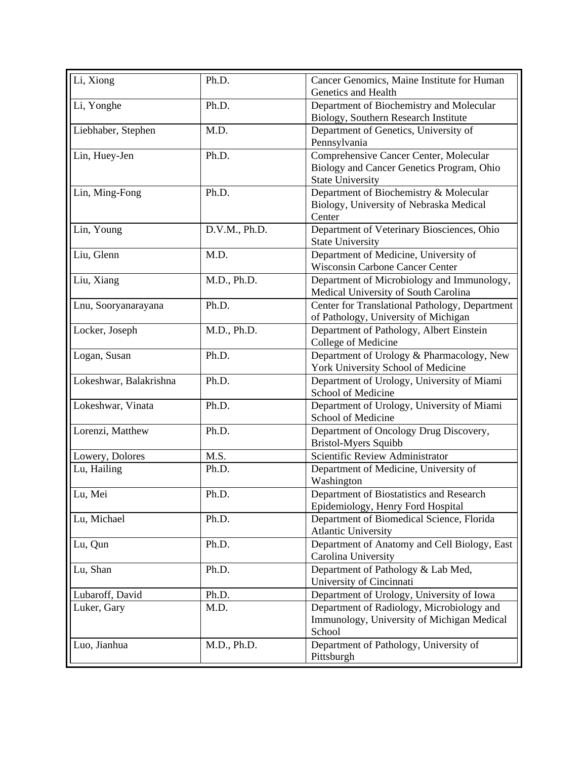| Li, Xiong              | Ph.D.         | Cancer Genomics, Maine Institute for Human<br>Genetics and Health |
|------------------------|---------------|-------------------------------------------------------------------|
| Li, Yonghe             | Ph.D.         | Department of Biochemistry and Molecular                          |
|                        |               | Biology, Southern Research Institute                              |
| Liebhaber, Stephen     | M.D.          | Department of Genetics, University of                             |
|                        |               | Pennsylvania                                                      |
| Lin, Huey-Jen          | Ph.D.         | Comprehensive Cancer Center, Molecular                            |
|                        |               | Biology and Cancer Genetics Program, Ohio                         |
|                        |               | <b>State University</b>                                           |
| Lin, Ming-Fong         | Ph.D.         | Department of Biochemistry & Molecular                            |
|                        |               | Biology, University of Nebraska Medical                           |
|                        |               | Center                                                            |
| Lin, Young             | D.V.M., Ph.D. | Department of Veterinary Biosciences, Ohio                        |
| Liu, Glenn             | M.D.          | <b>State University</b><br>Department of Medicine, University of  |
|                        |               | <b>Wisconsin Carbone Cancer Center</b>                            |
| Liu, Xiang             | M.D., Ph.D.   | Department of Microbiology and Immunology,                        |
|                        |               | Medical University of South Carolina                              |
| Lnu, Sooryanarayana    | Ph.D.         | Center for Translational Pathology, Department                    |
|                        |               | of Pathology, University of Michigan                              |
| Locker, Joseph         | M.D., Ph.D.   | Department of Pathology, Albert Einstein                          |
|                        |               | College of Medicine                                               |
| Logan, Susan           | Ph.D.         | Department of Urology & Pharmacology, New                         |
|                        |               | York University School of Medicine                                |
| Lokeshwar, Balakrishna | Ph.D.         | Department of Urology, University of Miami                        |
|                        |               | School of Medicine                                                |
| Lokeshwar, Vinata      | Ph.D.         | Department of Urology, University of Miami                        |
|                        |               | School of Medicine                                                |
| Lorenzi, Matthew       | Ph.D.         | Department of Oncology Drug Discovery,                            |
|                        |               | Bristol-Myers Squibb                                              |
| Lowery, Dolores        | M.S.          | Scientific Review Administrator                                   |
| Lu, Hailing            | Ph.D.         | Department of Medicine, University of                             |
| Lu, Mei                | Ph.D.         | Washington<br>Department of Biostatistics and Research            |
|                        |               | Epidemiology, Henry Ford Hospital                                 |
| Lu, Michael            | Ph.D.         | Department of Biomedical Science, Florida                         |
|                        |               | <b>Atlantic University</b>                                        |
| Lu, Qun                | Ph.D.         | Department of Anatomy and Cell Biology, East                      |
|                        |               | Carolina University                                               |
| Lu, Shan               | Ph.D.         | Department of Pathology & Lab Med,                                |
|                        |               | University of Cincinnati                                          |
| Lubaroff, David        | Ph.D.         | Department of Urology, University of Iowa                         |
| Luker, Gary            | M.D.          | Department of Radiology, Microbiology and                         |
|                        |               | Immunology, University of Michigan Medical                        |
|                        |               | School                                                            |
| Luo, Jianhua           | M.D., Ph.D.   | Department of Pathology, University of                            |
|                        |               | Pittsburgh                                                        |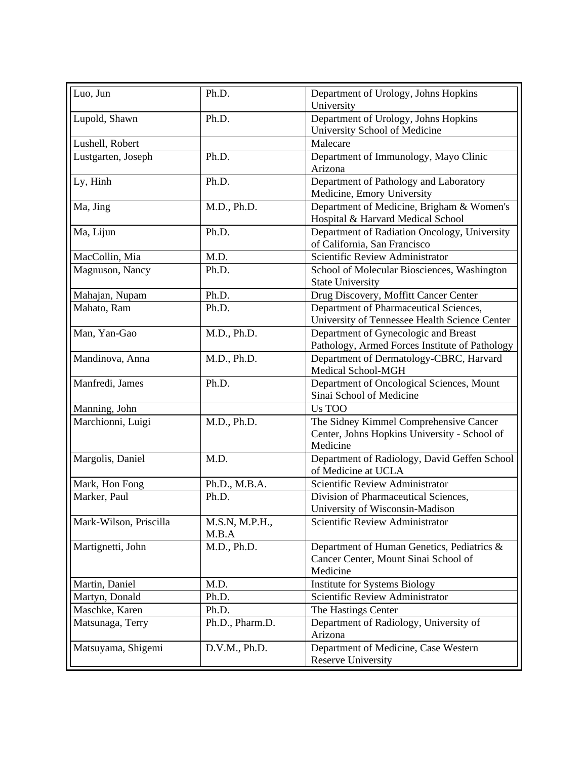| Luo, Jun               | Ph.D.                   | Department of Urology, Johns Hopkins<br>University                                                 |
|------------------------|-------------------------|----------------------------------------------------------------------------------------------------|
| Lupold, Shawn          | Ph.D.                   | Department of Urology, Johns Hopkins<br>University School of Medicine                              |
| Lushell, Robert        |                         | Malecare                                                                                           |
| Lustgarten, Joseph     | Ph.D.                   | Department of Immunology, Mayo Clinic<br>Arizona                                                   |
| Ly, Hinh               | Ph.D.                   | Department of Pathology and Laboratory<br>Medicine, Emory University                               |
| Ma, Jing               | M.D., Ph.D.             | Department of Medicine, Brigham & Women's<br>Hospital & Harvard Medical School                     |
| Ma, Lijun              | Ph.D.                   | Department of Radiation Oncology, University<br>of California, San Francisco                       |
| MacCollin, Mia         | M.D.                    | Scientific Review Administrator                                                                    |
| Magnuson, Nancy        | Ph.D.                   | School of Molecular Biosciences, Washington<br><b>State University</b>                             |
| Mahajan, Nupam         | Ph.D.                   | Drug Discovery, Moffitt Cancer Center                                                              |
| Mahato, Ram            | Ph.D.                   | Department of Pharmaceutical Sciences,<br>University of Tennessee Health Science Center            |
| Man, Yan-Gao           | M.D., Ph.D.             | Department of Gynecologic and Breast<br>Pathology, Armed Forces Institute of Pathology             |
| Mandinova, Anna        | M.D., Ph.D.             | Department of Dermatology-CBRC, Harvard<br>Medical School-MGH                                      |
| Manfredi, James        | Ph.D.                   | Department of Oncological Sciences, Mount<br>Sinai School of Medicine                              |
| Manning, John          |                         | Us TOO                                                                                             |
| Marchionni, Luigi      | M.D., Ph.D.             | The Sidney Kimmel Comprehensive Cancer<br>Center, Johns Hopkins University - School of<br>Medicine |
| Margolis, Daniel       | M.D.                    | Department of Radiology, David Geffen School<br>of Medicine at UCLA                                |
| Mark, Hon Fong         | Ph.D., M.B.A.           | Scientific Review Administrator                                                                    |
| Marker, Paul           | Ph.D.                   | Division of Pharmaceutical Sciences,<br>University of Wisconsin-Madison                            |
| Mark-Wilson, Priscilla | M.S.N, M.P.H.,<br>M.B.A | Scientific Review Administrator                                                                    |
| Martignetti, John      | M.D., Ph.D.             | Department of Human Genetics, Pediatrics &<br>Cancer Center, Mount Sinai School of<br>Medicine     |
| Martin, Daniel         | M.D.                    | Institute for Systems Biology                                                                      |
| Martyn, Donald         | Ph.D.                   | Scientific Review Administrator                                                                    |
| Maschke, Karen         | Ph.D.                   | The Hastings Center                                                                                |
| Matsunaga, Terry       | Ph.D., Pharm.D.         | Department of Radiology, University of<br>Arizona                                                  |
| Matsuyama, Shigemi     | D.V.M., Ph.D.           | Department of Medicine, Case Western<br><b>Reserve University</b>                                  |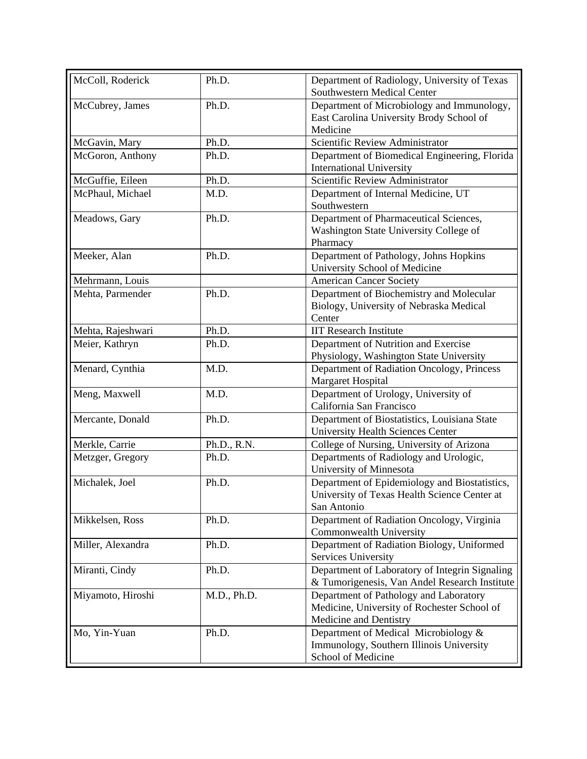| McColl, Roderick  | Ph.D.       | Department of Radiology, University of Texas<br>Southwestern Medical Center                                     |
|-------------------|-------------|-----------------------------------------------------------------------------------------------------------------|
| McCubrey, James   | Ph.D.       | Department of Microbiology and Immunology,<br>East Carolina University Brody School of                          |
|                   |             | Medicine                                                                                                        |
| McGavin, Mary     | Ph.D.       | Scientific Review Administrator                                                                                 |
| McGoron, Anthony  | Ph.D.       | Department of Biomedical Engineering, Florida<br><b>International University</b>                                |
| McGuffie, Eileen  | Ph.D.       | Scientific Review Administrator                                                                                 |
| McPhaul, Michael  | M.D.        | Department of Internal Medicine, UT<br>Southwestern                                                             |
| Meadows, Gary     | Ph.D.       | Department of Pharmaceutical Sciences,<br>Washington State University College of<br>Pharmacy                    |
| Meeker, Alan      | Ph.D.       | Department of Pathology, Johns Hopkins<br>University School of Medicine                                         |
| Mehrmann, Louis   |             | <b>American Cancer Society</b>                                                                                  |
| Mehta, Parmender  | Ph.D.       | Department of Biochemistry and Molecular<br>Biology, University of Nebraska Medical<br>Center                   |
| Mehta, Rajeshwari | Ph.D.       | <b>IIT Research Institute</b>                                                                                   |
| Meier, Kathryn    | Ph.D.       | Department of Nutrition and Exercise<br>Physiology, Washington State University                                 |
| Menard, Cynthia   | M.D.        | Department of Radiation Oncology, Princess<br>Margaret Hospital                                                 |
| Meng, Maxwell     | M.D.        | Department of Urology, University of<br>California San Francisco                                                |
| Mercante, Donald  | Ph.D.       | Department of Biostatistics, Louisiana State<br><b>University Health Sciences Center</b>                        |
| Merkle, Carrie    | Ph.D., R.N. | College of Nursing, University of Arizona                                                                       |
| Metzger, Gregory  | Ph.D.       | Departments of Radiology and Urologic,<br>University of Minnesota                                               |
| Michalek, Joel    | Ph.D.       | Department of Epidemiology and Biostatistics,<br>University of Texas Health Science Center at<br>San Antonio    |
| Mikkelsen, Ross   | Ph.D.       | Department of Radiation Oncology, Virginia<br>Commonwealth University                                           |
| Miller, Alexandra | Ph.D.       | Department of Radiation Biology, Uniformed<br>Services University                                               |
| Miranti, Cindy    | Ph.D.       | Department of Laboratory of Integrin Signaling<br>& Tumorigenesis, Van Andel Research Institute                 |
| Miyamoto, Hiroshi | M.D., Ph.D. | Department of Pathology and Laboratory<br>Medicine, University of Rochester School of<br>Medicine and Dentistry |
| Mo, Yin-Yuan      | Ph.D.       | Department of Medical Microbiology &<br>Immunology, Southern Illinois University<br>School of Medicine          |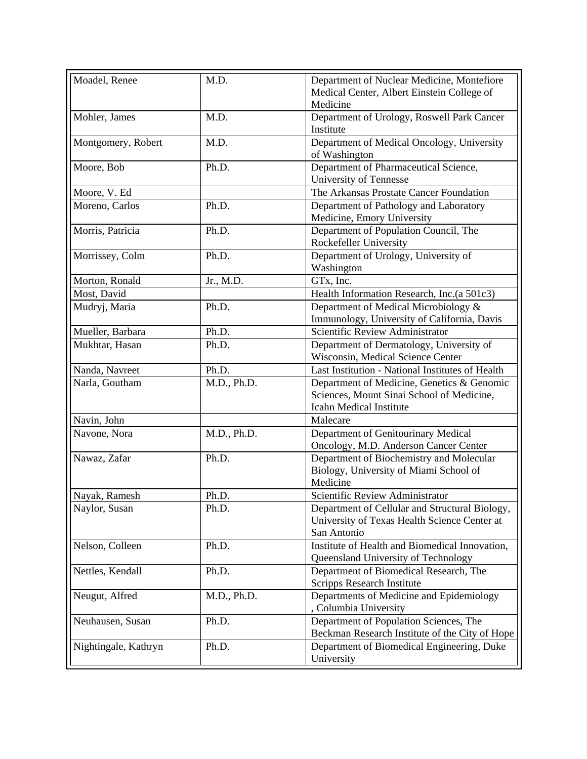| Moadel, Renee        | M.D.        | Department of Nuclear Medicine, Montefiore<br>Medical Center, Albert Einstein College of<br>Medicine               |
|----------------------|-------------|--------------------------------------------------------------------------------------------------------------------|
| Mohler, James        | M.D.        | Department of Urology, Roswell Park Cancer<br>Institute                                                            |
| Montgomery, Robert   | M.D.        | Department of Medical Oncology, University<br>of Washington                                                        |
| Moore, Bob           | Ph.D.       | Department of Pharmaceutical Science,<br>University of Tennesse                                                    |
| Moore, V. Ed         |             | The Arkansas Prostate Cancer Foundation                                                                            |
| Moreno, Carlos       | Ph.D.       | Department of Pathology and Laboratory<br>Medicine, Emory University                                               |
| Morris, Patricia     | Ph.D.       | Department of Population Council, The<br>Rockefeller University                                                    |
| Morrissey, Colm      | Ph.D.       | Department of Urology, University of<br>Washington                                                                 |
| Morton, Ronald       | Jr., M.D.   | GTx, Inc.                                                                                                          |
| Most, David          |             | Health Information Research, Inc.(a 501c3)                                                                         |
| Mudryj, Maria        | Ph.D.       | Department of Medical Microbiology &<br>Immunology, University of California, Davis                                |
| Mueller, Barbara     | Ph.D.       | Scientific Review Administrator                                                                                    |
| Mukhtar, Hasan       | Ph.D.       | Department of Dermatology, University of<br>Wisconsin, Medical Science Center                                      |
| Nanda, Navreet       | Ph.D.       | Last Institution - National Institutes of Health                                                                   |
| Narla, Goutham       | M.D., Ph.D. | Department of Medicine, Genetics & Genomic<br>Sciences, Mount Sinai School of Medicine,<br>Icahn Medical Institute |
| Navin, John          |             | Malecare                                                                                                           |
| Navone, Nora         | M.D., Ph.D. | Department of Genitourinary Medical<br>Oncology, M.D. Anderson Cancer Center                                       |
| Nawaz, Zafar         | Ph.D.       | Department of Biochemistry and Molecular<br>Biology, University of Miami School of<br>Medicine                     |
| Nayak, Ramesh        | Ph.D.       | Scientific Review Administrator                                                                                    |
| Naylor, Susan        | Ph.D.       | Department of Cellular and Structural Biology,<br>University of Texas Health Science Center at<br>San Antonio      |
| Nelson, Colleen      | Ph.D.       | Institute of Health and Biomedical Innovation,<br>Queensland University of Technology                              |
| Nettles, Kendall     | Ph.D.       | Department of Biomedical Research, The<br><b>Scripps Research Institute</b>                                        |
| Neugut, Alfred       | M.D., Ph.D. | Departments of Medicine and Epidemiology<br>, Columbia University                                                  |
| Neuhausen, Susan     | Ph.D.       | Department of Population Sciences, The<br>Beckman Research Institute of the City of Hope                           |
| Nightingale, Kathryn | Ph.D.       | Department of Biomedical Engineering, Duke<br>University                                                           |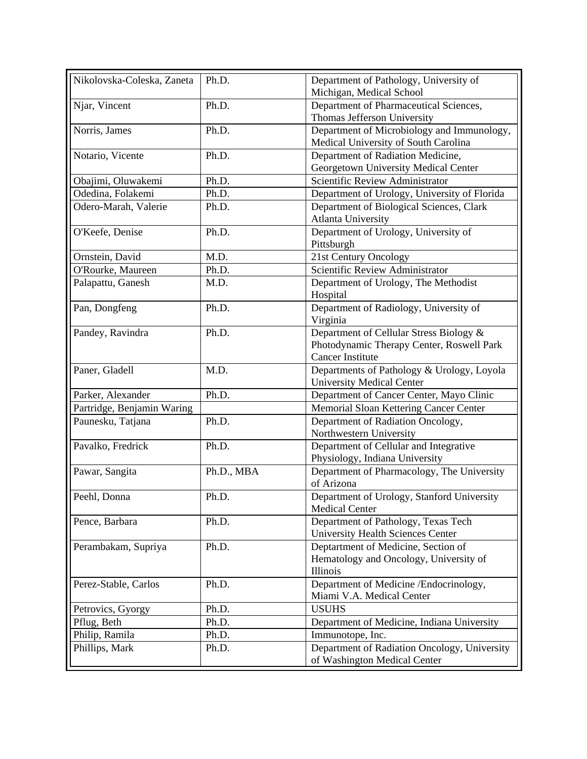| Nikolovska-Coleska, Zaneta | Ph.D.      | Department of Pathology, University of<br>Michigan, Medical School                                              |
|----------------------------|------------|-----------------------------------------------------------------------------------------------------------------|
| Njar, Vincent              | Ph.D.      | Department of Pharmaceutical Sciences,<br>Thomas Jefferson University                                           |
| Norris, James              | Ph.D.      | Department of Microbiology and Immunology,<br>Medical University of South Carolina                              |
| Notario, Vicente           | Ph.D.      | Department of Radiation Medicine,<br>Georgetown University Medical Center                                       |
| Obajimi, Oluwakemi         | Ph.D.      | Scientific Review Administrator                                                                                 |
| Odedina, Folakemi          | Ph.D.      | Department of Urology, University of Florida                                                                    |
| Odero-Marah, Valerie       | Ph.D.      | Department of Biological Sciences, Clark<br><b>Atlanta University</b>                                           |
| O'Keefe, Denise            | Ph.D.      | Department of Urology, University of<br>Pittsburgh                                                              |
| Ornstein, David            | M.D.       | 21st Century Oncology                                                                                           |
| O'Rourke, Maureen          | Ph.D.      | Scientific Review Administrator                                                                                 |
| Palapattu, Ganesh          | M.D.       | Department of Urology, The Methodist<br>Hospital                                                                |
| Pan, Dongfeng              | Ph.D.      | Department of Radiology, University of<br>Virginia                                                              |
| Pandey, Ravindra           | Ph.D.      | Department of Cellular Stress Biology &<br>Photodynamic Therapy Center, Roswell Park<br><b>Cancer Institute</b> |
| Paner, Gladell             | M.D.       | Departments of Pathology & Urology, Loyola<br><b>University Medical Center</b>                                  |
| Parker, Alexander          | Ph.D.      | Department of Cancer Center, Mayo Clinic                                                                        |
| Partridge, Benjamin Waring |            | Memorial Sloan Kettering Cancer Center                                                                          |
| Paunesku, Tatjana          | Ph.D.      | Department of Radiation Oncology,<br>Northwestern University                                                    |
| Pavalko, Fredrick          | Ph.D.      | Department of Cellular and Integrative<br>Physiology, Indiana University                                        |
| Pawar, Sangita             | Ph.D., MBA | Department of Pharmacology, The University<br>of Arizona                                                        |
| Peehl, Donna               | Ph.D.      | Department of Urology, Stanford University<br><b>Medical Center</b>                                             |
| Pence, Barbara             | Ph.D.      | Department of Pathology, Texas Tech<br>University Health Sciences Center                                        |
| Perambakam, Supriya        | Ph.D.      | Deptartment of Medicine, Section of<br>Hematology and Oncology, University of<br>Illinois                       |
| Perez-Stable, Carlos       | Ph.D.      | Department of Medicine /Endocrinology,<br>Miami V.A. Medical Center                                             |
| Petrovics, Gyorgy          | Ph.D.      | <b>USUHS</b>                                                                                                    |
| Pflug, Beth                | Ph.D.      | Department of Medicine, Indiana University                                                                      |
| Philip, Ramila             | Ph.D.      | Immunotope, Inc.                                                                                                |
| Phillips, Mark             | Ph.D.      | Department of Radiation Oncology, University<br>of Washington Medical Center                                    |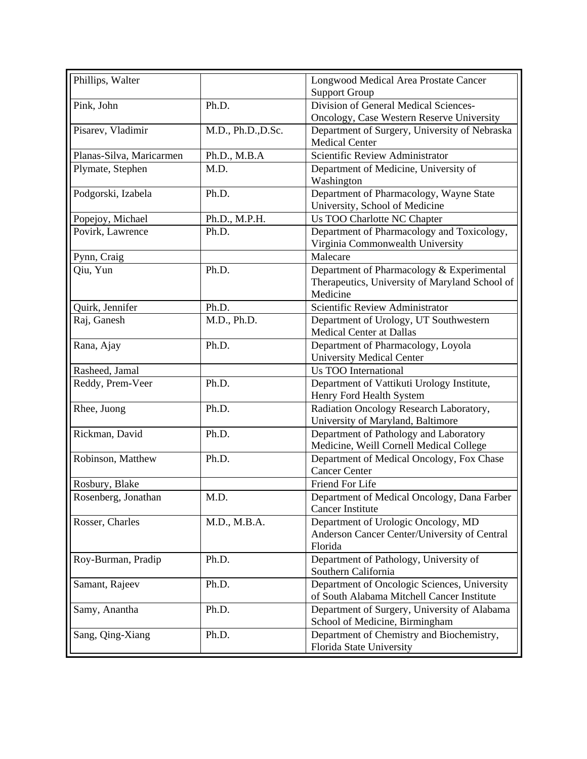| Phillips, Walter         |                    | Longwood Medical Area Prostate Cancer<br><b>Support Group</b>                                           |
|--------------------------|--------------------|---------------------------------------------------------------------------------------------------------|
| Pink, John               | Ph.D.              | Division of General Medical Sciences-                                                                   |
|                          |                    | Oncology, Case Western Reserve University                                                               |
| Pisarev, Vladimir        | M.D., Ph.D., D.Sc. | Department of Surgery, University of Nebraska<br><b>Medical Center</b>                                  |
| Planas-Silva, Maricarmen | Ph.D., M.B.A       | Scientific Review Administrator                                                                         |
| Plymate, Stephen         | M.D.               | Department of Medicine, University of<br>Washington                                                     |
| Podgorski, Izabela       | Ph.D.              | Department of Pharmacology, Wayne State<br>University, School of Medicine                               |
| Popejoy, Michael         | Ph.D., M.P.H.      | Us TOO Charlotte NC Chapter                                                                             |
| Povirk, Lawrence         | Ph.D.              | Department of Pharmacology and Toxicology,<br>Virginia Commonwealth University                          |
| Pynn, Craig              |                    | Malecare                                                                                                |
| Qiu, Yun                 | Ph.D.              | Department of Pharmacology & Experimental<br>Therapeutics, University of Maryland School of<br>Medicine |
| Quirk, Jennifer          | Ph.D.              | Scientific Review Administrator                                                                         |
| Raj, Ganesh              | M.D., Ph.D.        | Department of Urology, UT Southwestern<br><b>Medical Center at Dallas</b>                               |
| Rana, Ajay               | Ph.D.              | Department of Pharmacology, Loyola<br><b>University Medical Center</b>                                  |
| Rasheed, Jamal           |                    | <b>Us TOO International</b>                                                                             |
| Reddy, Prem-Veer         | Ph.D.              | Department of Vattikuti Urology Institute,<br>Henry Ford Health System                                  |
| Rhee, Juong              | Ph.D.              | Radiation Oncology Research Laboratory,<br>University of Maryland, Baltimore                            |
| Rickman, David           | Ph.D.              | Department of Pathology and Laboratory<br>Medicine, Weill Cornell Medical College                       |
| Robinson, Matthew        | Ph.D.              | Department of Medical Oncology, Fox Chase<br><b>Cancer Center</b>                                       |
| Rosbury, Blake           |                    | Friend For Life                                                                                         |
| Rosenberg, Jonathan      | M.D.               | Department of Medical Oncology, Dana Farber<br><b>Cancer Institute</b>                                  |
| Rosser, Charles          | M.D., M.B.A.       | Department of Urologic Oncology, MD<br>Anderson Cancer Center/University of Central<br>Florida          |
| Roy-Burman, Pradip       | Ph.D.              | Department of Pathology, University of<br>Southern California                                           |
| Samant, Rajeev           | Ph.D.              | Department of Oncologic Sciences, University<br>of South Alabama Mitchell Cancer Institute              |
| Samy, Anantha            | Ph.D.              | Department of Surgery, University of Alabama<br>School of Medicine, Birmingham                          |
| Sang, Qing-Xiang         | Ph.D.              | Department of Chemistry and Biochemistry,<br>Florida State University                                   |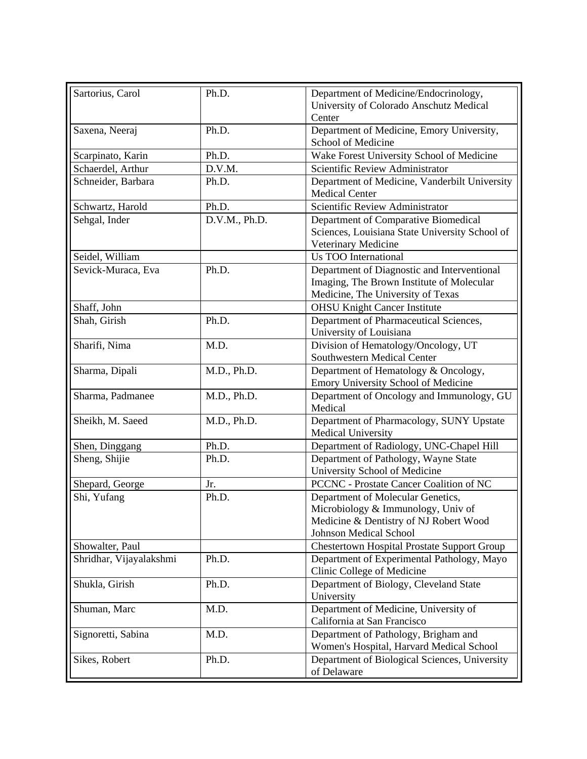| Sartorius, Carol        | Ph.D.         | Department of Medicine/Endocrinology,<br>University of Colorado Anschutz Medical<br>Center                                                         |
|-------------------------|---------------|----------------------------------------------------------------------------------------------------------------------------------------------------|
| Saxena, Neeraj          | Ph.D.         | Department of Medicine, Emory University,<br>School of Medicine                                                                                    |
| Scarpinato, Karin       | Ph.D.         | Wake Forest University School of Medicine                                                                                                          |
| Schaerdel, Arthur       | D.V.M.        | Scientific Review Administrator                                                                                                                    |
| Schneider, Barbara      | Ph.D.         | Department of Medicine, Vanderbilt University<br><b>Medical Center</b>                                                                             |
| Schwartz, Harold        | Ph.D.         | Scientific Review Administrator                                                                                                                    |
| Sehgal, Inder           | D.V.M., Ph.D. | Department of Comparative Biomedical<br>Sciences, Louisiana State University School of<br>Veterinary Medicine                                      |
| Seidel, William         |               | <b>Us TOO International</b>                                                                                                                        |
| Sevick-Muraca, Eva      | Ph.D.         | Department of Diagnostic and Interventional<br>Imaging, The Brown Institute of Molecular<br>Medicine, The University of Texas                      |
| Shaff, John             |               | <b>OHSU Knight Cancer Institute</b>                                                                                                                |
| Shah, Girish            | Ph.D.         | Department of Pharmaceutical Sciences,<br>University of Louisiana                                                                                  |
| Sharifi, Nima           | M.D.          | Division of Hematology/Oncology, UT<br>Southwestern Medical Center                                                                                 |
| Sharma, Dipali          | M.D., Ph.D.   | Department of Hematology & Oncology,<br>Emory University School of Medicine                                                                        |
| Sharma, Padmanee        | M.D., Ph.D.   | Department of Oncology and Immunology, GU<br>Medical                                                                                               |
| Sheikh, M. Saeed        | M.D., Ph.D.   | Department of Pharmacology, SUNY Upstate<br>Medical University                                                                                     |
| Shen, Dinggang          | Ph.D.         | Department of Radiology, UNC-Chapel Hill                                                                                                           |
| Sheng, Shijie           | Ph.D.         | Department of Pathology, Wayne State<br>University School of Medicine                                                                              |
| Shepard, George         | Jr.           | PCCNC - Prostate Cancer Coalition of NC                                                                                                            |
| Shi, Yufang             | Ph.D.         | Department of Molecular Genetics,<br>Microbiology & Immunology, Univ of<br>Medicine & Dentistry of NJ Robert Wood<br><b>Johnson Medical School</b> |
| Showalter, Paul         |               | <b>Chestertown Hospital Prostate Support Group</b>                                                                                                 |
| Shridhar, Vijayalakshmi | Ph.D.         | Department of Experimental Pathology, Mayo<br>Clinic College of Medicine                                                                           |
| Shukla, Girish          | Ph.D.         | Department of Biology, Cleveland State<br>University                                                                                               |
| Shuman, Marc            | M.D.          | Department of Medicine, University of<br>California at San Francisco                                                                               |
| Signoretti, Sabina      | M.D.          | Department of Pathology, Brigham and<br>Women's Hospital, Harvard Medical School                                                                   |
| Sikes, Robert           | Ph.D.         | Department of Biological Sciences, University<br>of Delaware                                                                                       |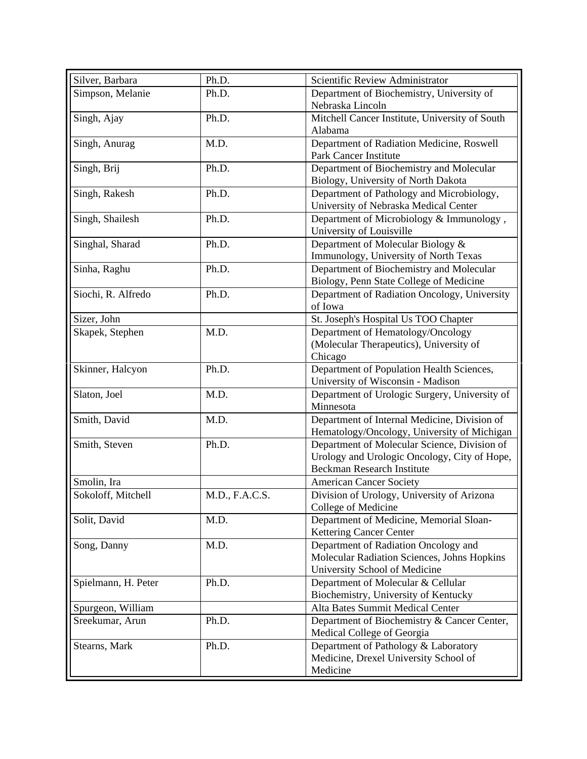| Silver, Barbara     | Ph.D.          | Scientific Review Administrator                                                   |
|---------------------|----------------|-----------------------------------------------------------------------------------|
| Simpson, Melanie    | Ph.D.          | Department of Biochemistry, University of                                         |
|                     |                | Nebraska Lincoln                                                                  |
| Singh, Ajay         | Ph.D.          | Mitchell Cancer Institute, University of South                                    |
|                     |                | Alabama                                                                           |
| Singh, Anurag       | M.D.           | Department of Radiation Medicine, Roswell                                         |
|                     |                | <b>Park Cancer Institute</b>                                                      |
| Singh, Brij         | Ph.D.          | Department of Biochemistry and Molecular                                          |
|                     |                | Biology, University of North Dakota                                               |
| Singh, Rakesh       | Ph.D.          | Department of Pathology and Microbiology,                                         |
|                     |                | University of Nebraska Medical Center                                             |
| Singh, Shailesh     | Ph.D.          | Department of Microbiology & Immunology,                                          |
|                     |                | University of Louisville                                                          |
| Singhal, Sharad     | Ph.D.          | Department of Molecular Biology &                                                 |
|                     |                | Immunology, University of North Texas                                             |
| Sinha, Raghu        | Ph.D.          | Department of Biochemistry and Molecular                                          |
|                     |                | Biology, Penn State College of Medicine                                           |
| Siochi, R. Alfredo  | Ph.D.          | Department of Radiation Oncology, University                                      |
|                     |                | of Iowa                                                                           |
| Sizer, John         |                | St. Joseph's Hospital Us TOO Chapter                                              |
| Skapek, Stephen     | M.D.           | Department of Hematology/Oncology                                                 |
|                     |                | (Molecular Therapeutics), University of                                           |
|                     |                | Chicago                                                                           |
| Skinner, Halcyon    | Ph.D.          | Department of Population Health Sciences,                                         |
|                     |                | University of Wisconsin - Madison                                                 |
| Slaton, Joel        | M.D.           | Department of Urologic Surgery, University of                                     |
|                     |                | Minnesota                                                                         |
| Smith, David        | M.D.           | Department of Internal Medicine, Division of                                      |
|                     |                | Hematology/Oncology, University of Michigan                                       |
| Smith, Steven       | Ph.D.          | Department of Molecular Science, Division of                                      |
|                     |                | Urology and Urologic Oncology, City of Hope,<br><b>Beckman Research Institute</b> |
|                     |                |                                                                                   |
| Smolin, Ira         |                | <b>American Cancer Society</b>                                                    |
| Sokoloff, Mitchell  | M.D., F.A.C.S. | Division of Urology, University of Arizona                                        |
|                     |                | College of Medicine<br>Department of Medicine, Memorial Sloan-                    |
| Solit, David        | M.D.           | <b>Kettering Cancer Center</b>                                                    |
| Song, Danny         | M.D.           | Department of Radiation Oncology and                                              |
|                     |                | Molecular Radiation Sciences, Johns Hopkins                                       |
|                     |                | University School of Medicine                                                     |
| Spielmann, H. Peter | Ph.D.          | Department of Molecular & Cellular                                                |
|                     |                | Biochemistry, University of Kentucky                                              |
| Spurgeon, William   |                | Alta Bates Summit Medical Center                                                  |
| Sreekumar, Arun     | Ph.D.          | Department of Biochemistry & Cancer Center,                                       |
|                     |                | Medical College of Georgia                                                        |
| Stearns, Mark       | Ph.D.          | Department of Pathology & Laboratory                                              |
|                     |                | Medicine, Drexel University School of                                             |
|                     |                | Medicine                                                                          |
|                     |                |                                                                                   |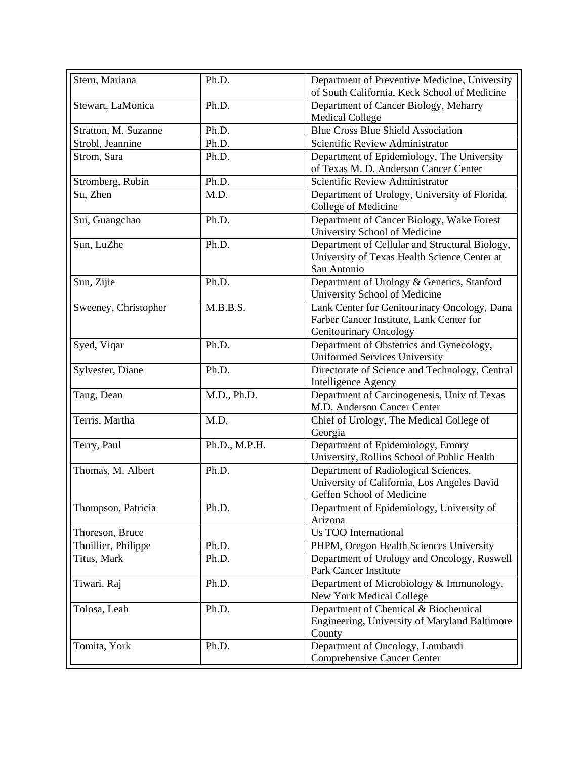| Stern, Mariana       | Ph.D.         | Department of Preventive Medicine, University                                                                      |
|----------------------|---------------|--------------------------------------------------------------------------------------------------------------------|
|                      |               | of South California, Keck School of Medicine                                                                       |
| Stewart, LaMonica    | Ph.D.         | Department of Cancer Biology, Meharry<br><b>Medical College</b>                                                    |
| Stratton, M. Suzanne | Ph.D.         | <b>Blue Cross Blue Shield Association</b>                                                                          |
| Strobl, Jeannine     | Ph.D.         | Scientific Review Administrator                                                                                    |
| Strom, Sara          | Ph.D.         | Department of Epidemiology, The University                                                                         |
|                      |               | of Texas M. D. Anderson Cancer Center                                                                              |
| Stromberg, Robin     | Ph.D.         | Scientific Review Administrator                                                                                    |
| Su, Zhen             | M.D.          | Department of Urology, University of Florida,<br>College of Medicine                                               |
| Sui, Guangchao       | Ph.D.         | Department of Cancer Biology, Wake Forest<br>University School of Medicine                                         |
| Sun, LuZhe           | Ph.D.         | Department of Cellular and Structural Biology,<br>University of Texas Health Science Center at<br>San Antonio      |
| Sun, Zijie           | Ph.D.         | Department of Urology & Genetics, Stanford<br>University School of Medicine                                        |
| Sweeney, Christopher | M.B.B.S.      | Lank Center for Genitourinary Oncology, Dana<br>Farber Cancer Institute, Lank Center for<br>Genitourinary Oncology |
| Syed, Viqar          | Ph.D.         | Department of Obstetrics and Gynecology,<br><b>Uniformed Services University</b>                                   |
| Sylvester, Diane     | Ph.D.         | Directorate of Science and Technology, Central<br><b>Intelligence Agency</b>                                       |
| Tang, Dean           | M.D., Ph.D.   | Department of Carcinogenesis, Univ of Texas<br>M.D. Anderson Cancer Center                                         |
| Terris, Martha       | M.D.          | Chief of Urology, The Medical College of<br>Georgia                                                                |
| Terry, Paul          | Ph.D., M.P.H. | Department of Epidemiology, Emory<br>University, Rollins School of Public Health                                   |
| Thomas, M. Albert    | Ph.D.         | Department of Radiological Sciences,<br>University of California, Los Angeles David<br>Geffen School of Medicine   |
| Thompson, Patricia   | Ph.D.         | Department of Epidemiology, University of<br>Arizona                                                               |
| Thoreson, Bruce      |               | Us TOO International                                                                                               |
| Thuillier, Philippe  | Ph.D.         | PHPM, Oregon Health Sciences University                                                                            |
| Titus, Mark          | Ph.D.         | Department of Urology and Oncology, Roswell<br><b>Park Cancer Institute</b>                                        |
| Tiwari, Raj          | Ph.D.         | Department of Microbiology & Immunology,<br>New York Medical College                                               |
| Tolosa, Leah         | Ph.D.         | Department of Chemical & Biochemical<br>Engineering, University of Maryland Baltimore<br>County                    |
| Tomita, York         | Ph.D.         | Department of Oncology, Lombardi<br>Comprehensive Cancer Center                                                    |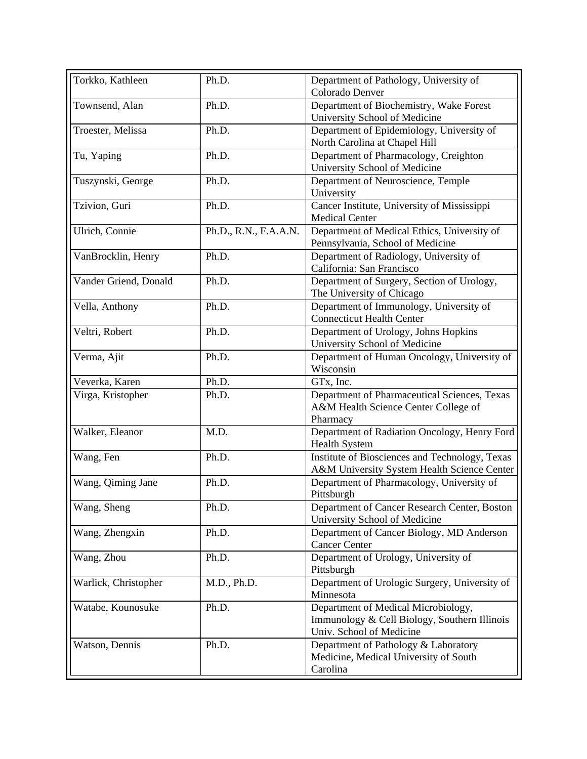| Torkko, Kathleen      | Ph.D.                 | Department of Pathology, University of<br>Colorado Denver                                                       |
|-----------------------|-----------------------|-----------------------------------------------------------------------------------------------------------------|
| Townsend, Alan        | Ph.D.                 | Department of Biochemistry, Wake Forest<br>University School of Medicine                                        |
| Troester, Melissa     | Ph.D.                 | Department of Epidemiology, University of<br>North Carolina at Chapel Hill                                      |
| Tu, Yaping            | Ph.D.                 | Department of Pharmacology, Creighton<br>University School of Medicine                                          |
| Tuszynski, George     | Ph.D.                 | Department of Neuroscience, Temple<br>University                                                                |
| Tzivion, Guri         | Ph.D.                 | Cancer Institute, University of Mississippi<br><b>Medical Center</b>                                            |
| Ulrich, Connie        | Ph.D., R.N., F.A.A.N. | Department of Medical Ethics, University of<br>Pennsylvania, School of Medicine                                 |
| VanBrocklin, Henry    | Ph.D.                 | Department of Radiology, University of<br>California: San Francisco                                             |
| Vander Griend, Donald | Ph.D.                 | Department of Surgery, Section of Urology,<br>The University of Chicago                                         |
| Vella, Anthony        | Ph.D.                 | Department of Immunology, University of<br><b>Connecticut Health Center</b>                                     |
| Veltri, Robert        | Ph.D.                 | Department of Urology, Johns Hopkins<br>University School of Medicine                                           |
| Verma, Ajit           | Ph.D.                 | Department of Human Oncology, University of<br>Wisconsin                                                        |
| Veverka, Karen        | Ph.D.                 | GTx, Inc.                                                                                                       |
| Virga, Kristopher     | Ph.D.                 | Department of Pharmaceutical Sciences, Texas<br>A&M Health Science Center College of<br>Pharmacy                |
| Walker, Eleanor       | M.D.                  | Department of Radiation Oncology, Henry Ford<br><b>Health System</b>                                            |
| Wang, Fen             | Ph.D.                 | Institute of Biosciences and Technology, Texas<br>A&M University System Health Science Center                   |
| Wang, Qiming Jane     | Ph.D.                 | Department of Pharmacology, University of<br>Pittsburgh                                                         |
| Wang, Sheng           | Ph.D.                 | Department of Cancer Research Center, Boston<br>University School of Medicine                                   |
| Wang, Zhengxin        | Ph.D.                 | Department of Cancer Biology, MD Anderson<br><b>Cancer Center</b>                                               |
| Wang, Zhou            | Ph.D.                 | Department of Urology, University of<br>Pittsburgh                                                              |
| Warlick, Christopher  | M.D., Ph.D.           | Department of Urologic Surgery, University of<br>Minnesota                                                      |
| Watabe, Kounosuke     | Ph.D.                 | Department of Medical Microbiology,<br>Immunology & Cell Biology, Southern Illinois<br>Univ. School of Medicine |
| Watson, Dennis        | Ph.D.                 | Department of Pathology & Laboratory<br>Medicine, Medical University of South<br>Carolina                       |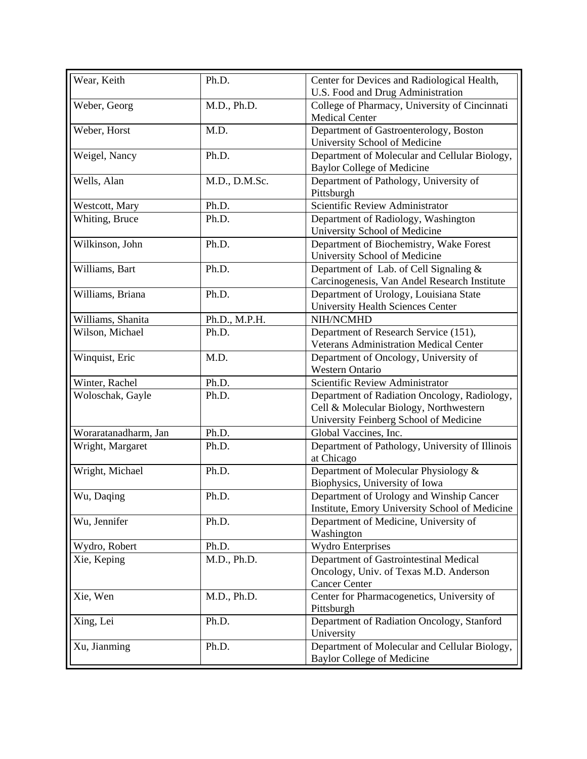| Wear, Keith          | Ph.D.         | Center for Devices and Radiological Health,<br>U.S. Food and Drug Administration                                                 |
|----------------------|---------------|----------------------------------------------------------------------------------------------------------------------------------|
| Weber, Georg         | M.D., Ph.D.   | College of Pharmacy, University of Cincinnati<br><b>Medical Center</b>                                                           |
| Weber, Horst         | M.D.          | Department of Gastroenterology, Boston                                                                                           |
| Weigel, Nancy        | Ph.D.         | University School of Medicine<br>Department of Molecular and Cellular Biology,                                                   |
| Wells, Alan          | M.D., D.M.Sc. | <b>Baylor College of Medicine</b><br>Department of Pathology, University of<br>Pittsburgh                                        |
| Westcott, Mary       | Ph.D.         | Scientific Review Administrator                                                                                                  |
| Whiting, Bruce       | Ph.D.         | Department of Radiology, Washington<br>University School of Medicine                                                             |
| Wilkinson, John      | Ph.D.         | Department of Biochemistry, Wake Forest<br>University School of Medicine                                                         |
| Williams, Bart       | Ph.D.         | Department of Lab. of Cell Signaling &<br>Carcinogenesis, Van Andel Research Institute                                           |
| Williams, Briana     | Ph.D.         | Department of Urology, Louisiana State<br><b>University Health Sciences Center</b>                                               |
| Williams, Shanita    | Ph.D., M.P.H. | NIH/NCMHD                                                                                                                        |
| Wilson, Michael      | Ph.D.         | Department of Research Service (151),<br><b>Veterans Administration Medical Center</b>                                           |
| Winquist, Eric       | M.D.          | Department of Oncology, University of<br><b>Western Ontario</b>                                                                  |
| Winter, Rachel       | Ph.D.         | Scientific Review Administrator                                                                                                  |
| Woloschak, Gayle     | Ph.D.         | Department of Radiation Oncology, Radiology,<br>Cell & Molecular Biology, Northwestern<br>University Feinberg School of Medicine |
| Woraratanadharm, Jan | Ph.D.         | Global Vaccines, Inc.                                                                                                            |
| Wright, Margaret     | Ph.D.         | Department of Pathology, University of Illinois<br>at Chicago                                                                    |
| Wright, Michael      | Ph.D.         | Department of Molecular Physiology &<br>Biophysics, University of Iowa                                                           |
| Wu, Daqing           | Ph.D.         | Department of Urology and Winship Cancer<br>Institute, Emory University School of Medicine                                       |
| Wu, Jennifer         | Ph.D.         | Department of Medicine, University of<br>Washington                                                                              |
| Wydro, Robert        | Ph.D.         | <b>Wydro Enterprises</b>                                                                                                         |
| Xie, Keping          | M.D., Ph.D.   | Department of Gastrointestinal Medical<br>Oncology, Univ. of Texas M.D. Anderson<br><b>Cancer Center</b>                         |
| Xie, Wen             | M.D., Ph.D.   | Center for Pharmacogenetics, University of<br>Pittsburgh                                                                         |
| Xing, Lei            | Ph.D.         | Department of Radiation Oncology, Stanford<br>University                                                                         |
| Xu, Jianming         | Ph.D.         | Department of Molecular and Cellular Biology,<br><b>Baylor College of Medicine</b>                                               |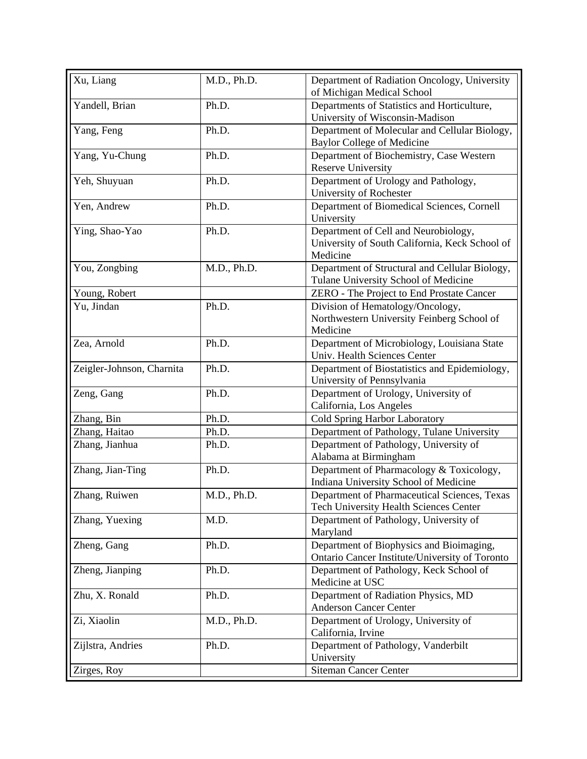| Xu, Liang                 | M.D., Ph.D. | Department of Radiation Oncology, University<br>of Michigan Medical School         |
|---------------------------|-------------|------------------------------------------------------------------------------------|
| Yandell, Brian            | Ph.D.       | Departments of Statistics and Horticulture,<br>University of Wisconsin-Madison     |
|                           | Ph.D.       |                                                                                    |
| Yang, Feng                |             | Department of Molecular and Cellular Biology,<br><b>Baylor College of Medicine</b> |
| Yang, Yu-Chung            | Ph.D.       | Department of Biochemistry, Case Western                                           |
|                           |             | <b>Reserve University</b>                                                          |
| Yeh, Shuyuan              | Ph.D.       | Department of Urology and Pathology,                                               |
|                           |             | University of Rochester                                                            |
| Yen, Andrew               | Ph.D.       | Department of Biomedical Sciences, Cornell<br>University                           |
| Ying, Shao-Yao            | Ph.D.       | Department of Cell and Neurobiology,                                               |
|                           |             | University of South California, Keck School of                                     |
|                           |             | Medicine                                                                           |
| You, Zongbing             | M.D., Ph.D. | Department of Structural and Cellular Biology,                                     |
|                           |             | Tulane University School of Medicine                                               |
| Young, Robert             |             | ZERO - The Project to End Prostate Cancer                                          |
| Yu, Jindan                | Ph.D.       | Division of Hematology/Oncology,                                                   |
|                           |             | Northwestern University Feinberg School of                                         |
|                           |             | Medicine                                                                           |
| Zea, Arnold               | Ph.D.       | Department of Microbiology, Louisiana State                                        |
|                           |             | Univ. Health Sciences Center                                                       |
| Zeigler-Johnson, Charnita | Ph.D.       | Department of Biostatistics and Epidemiology,                                      |
|                           |             | University of Pennsylvania                                                         |
| Zeng, Gang                | Ph.D.       | Department of Urology, University of                                               |
|                           |             | California, Los Angeles                                                            |
| Zhang, Bin                | Ph.D.       | Cold Spring Harbor Laboratory                                                      |
| Zhang, Haitao             | Ph.D.       | Department of Pathology, Tulane University                                         |
| Zhang, Jianhua            | Ph.D.       | Department of Pathology, University of                                             |
|                           |             | Alabama at Birmingham                                                              |
| Zhang, Jian-Ting          | Ph.D.       | Department of Pharmacology & Toxicology,                                           |
|                           |             | Indiana University School of Medicine                                              |
| Zhang, Ruiwen             | M.D., Ph.D. | Department of Pharmaceutical Sciences, Texas                                       |
|                           |             | Tech University Health Sciences Center                                             |
| Zhang, Yuexing            | M.D.        | Department of Pathology, University of                                             |
|                           |             | Maryland                                                                           |
| Zheng, Gang               | Ph.D.       | Department of Biophysics and Bioimaging,                                           |
|                           |             | Ontario Cancer Institute/University of Toronto                                     |
| Zheng, Jianping           | Ph.D.       | Department of Pathology, Keck School of                                            |
|                           |             | Medicine at USC                                                                    |
| Zhu, X. Ronald            | Ph.D.       | Department of Radiation Physics, MD                                                |
|                           |             | <b>Anderson Cancer Center</b>                                                      |
| Zi, Xiaolin               | M.D., Ph.D. | Department of Urology, University of                                               |
|                           |             | California, Irvine                                                                 |
| Zijlstra, Andries         | Ph.D.       | Department of Pathology, Vanderbilt                                                |
|                           |             | University                                                                         |
| Zirges, Roy               |             | <b>Siteman Cancer Center</b>                                                       |